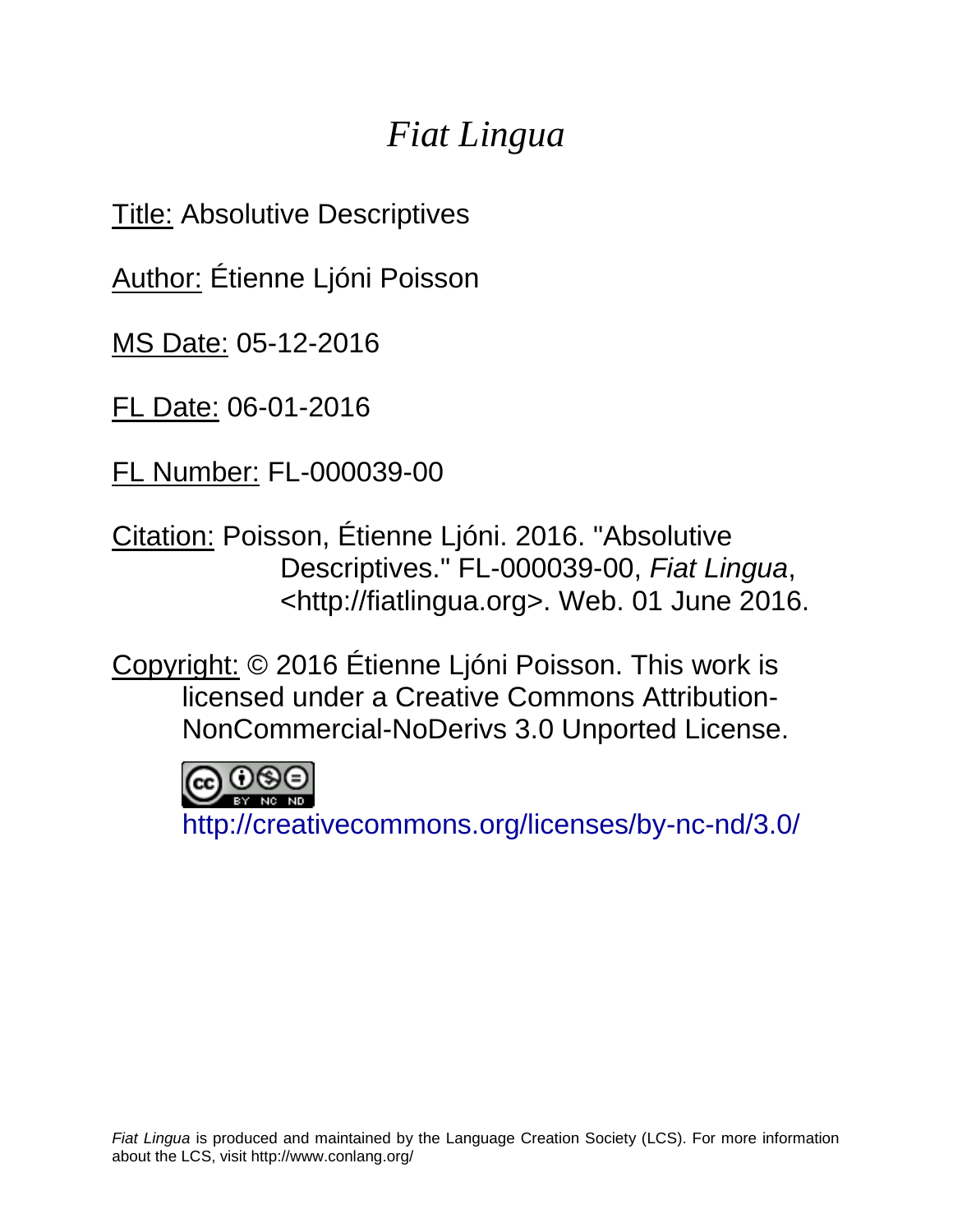# *Fiat Lingua*

Title: Absolutive Descriptives

Author: Étienne Ljóni Poisson

MS Date: 05-12-2016

FL Date: 06-01-2016

FL Number: FL-000039-00

Citation: Poisson, Étienne Ljóni. 2016. "Absolutive Descriptives." FL-000039-00, *Fiat Lingua*, <http://fiatlingua.org>. Web. 01 June 2016.

Copyright: © 2016 Étienne Ljóni Poisson. This work is licensed under a Creative Commons Attribution-NonCommercial-NoDerivs 3.0 Unported License.

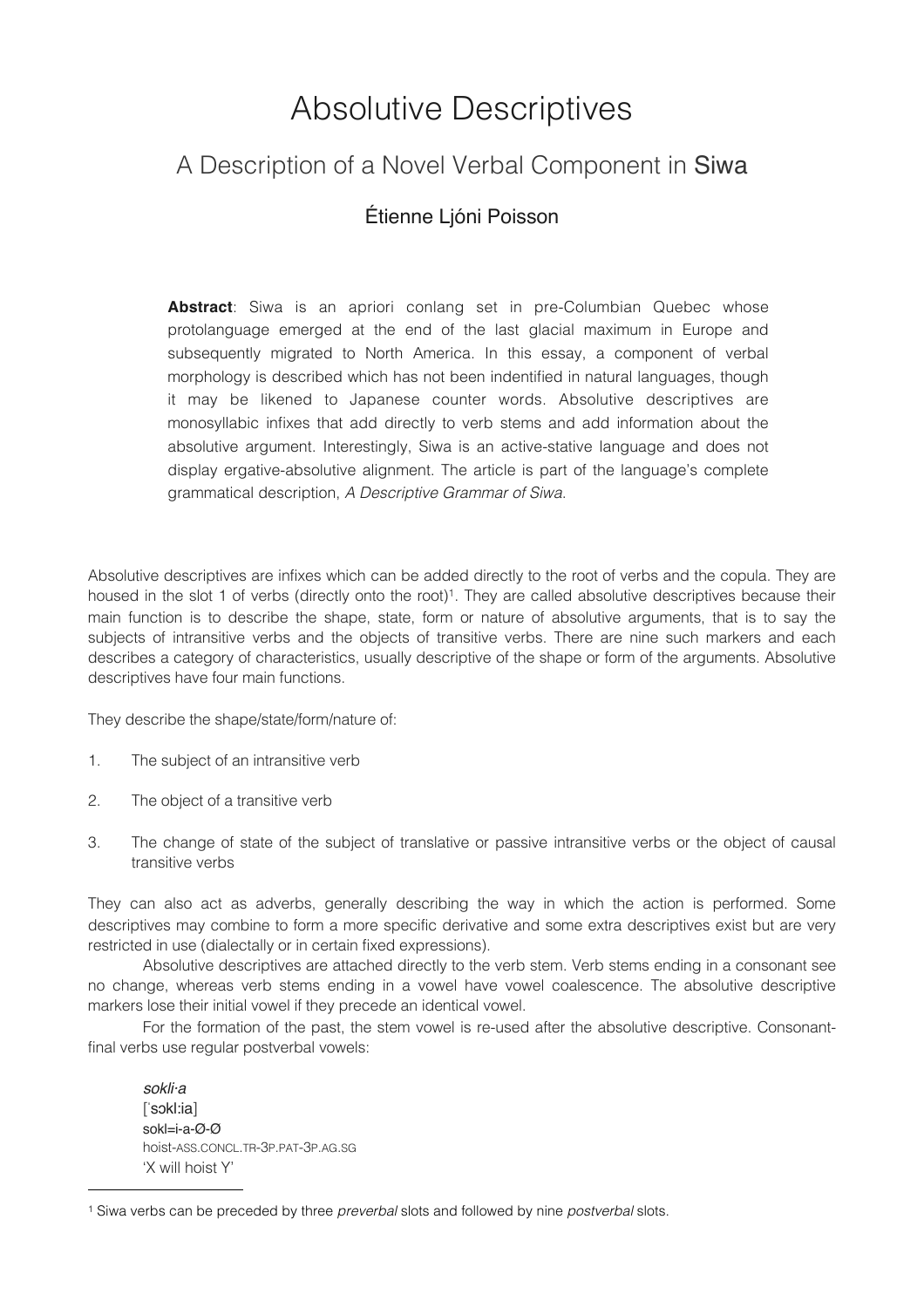## Absolutive Descriptives

## A Description of a Novel Verbal Component in Siwa

### Étienne Ljóni Poisson

**Abstract**: Siwa is an apriori conlang set in pre-Columbian Quebec whose protolanguage emerged at the end of the last glacial maximum in Europe and subsequently migrated to North America. In this essay, a component of verbal morphology is described which has not been indentified in natural languages, though it may be likened to Japanese counter words. Absolutive descriptives are monosyllabic infixes that add directly to verb stems and add information about the absolutive argument. Interestingly, Siwa is an active-stative language and does not display ergative-absolutive alignment. The article is part of the language's complete grammatical description, *A Descriptive Grammar of Siwa*.

Absolutive descriptives are infixes which can be added directly to the root of verbs and the copula. They are housed in the slot 1 of verbs (directly onto the root)<sup>1</sup>. They are called absolutive descriptives because their main function is to describe the shape, state, form or nature of absolutive arguments, that is to say the subjects of intransitive verbs and the objects of transitive verbs. There are nine such markers and each describes a category of characteristics, usually descriptive of the shape or form of the arguments. Absolutive descriptives have four main functions.

They describe the shape/state/form/nature of:

- 1. The subject of an intransitive verb
- 2. The object of a transitive verb
- 3. The change of state of the subject of translative or passive intransitive verbs or the object of causal transitive verbs

They can also act as adverbs, generally describing the way in which the action is performed. Some descriptives may combine to form a more specific derivative and some extra descriptives exist but are very restricted in use (dialectally or in certain fixed expressions).

Absolutive descriptives are attached directly to the verb stem. Verb stems ending in a consonant see no change, whereas verb stems ending in a vowel have vowel coalescence. The absolutive descriptive markers lose their initial vowel if they precede an identical vowel.

For the formation of the past, the stem vowel is re-used after the absolutive descriptive. Consonantfinal verbs use regular postverbal vowels:

 $s$ okli·a [ˈsɔkl:ia] sokl=i-a-Ø-Ø hoist-ASS.CONCL.TR-3P.PAT-3P.AG.SG 'X will hoist Y'

<span id="page-1-0"></span><sup>1</sup> Siwa verbs can be preceded by three *preverbal* slots and followed by nine *postverbal* slots.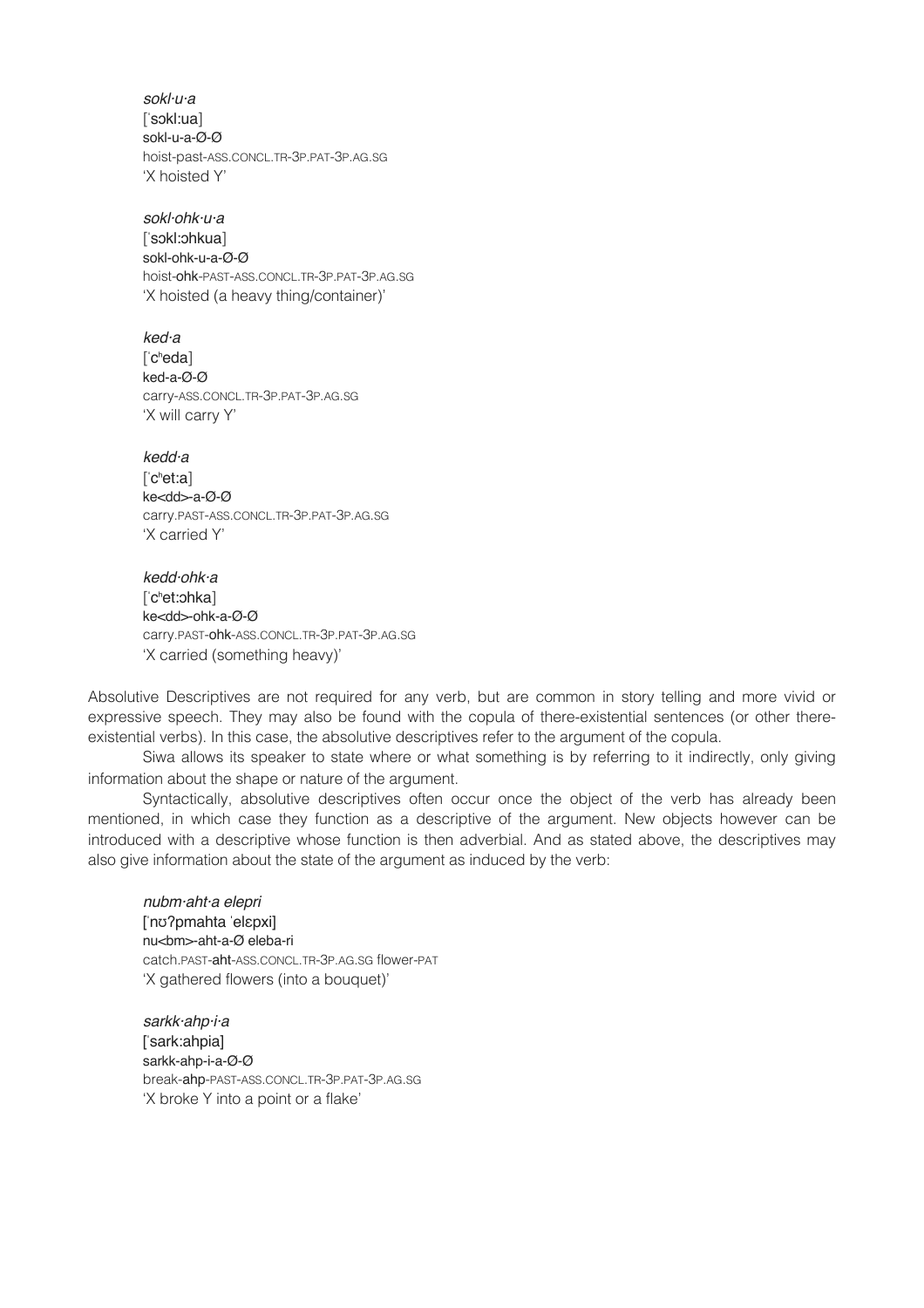*sokl·u·a* [ˈsɔkl:ua] sokl-u-a-Ø-Ø hoist-past-ASS.CONCL.TR-3P.PAT-3P.AG.SG 'X hoisted Y'

*sokl·ohk·u·a* [ˈsɔkl:ɔhkua] sokl-ohk-u-a-Ø-Ø hoist-ohk-PAST-ASS.CONCL.TR-3P.PAT-3P.AG.SG 'X hoisted (a heavy thing/container)'

 $k$ ed·a ['c<sup>h</sup>eda] ked-a-Ø-Ø carry-ASS.CONCL.TR-3P.PAT-3P.AG.SG 'X will carry Y'

*kedd·a* ['c<sup>h</sup>et:a] ke<dd>-a-Ø-Ø carry.PAST-ASS.CONCL.TR-3P.PAT-3P.AG.SG 'X carried Y'

*kedd·ohk·a* [ˈcʰet:ɔhka] ke<dd>-ohk-a-Ø-Ø carry.PAST-ohk-ASS.CONCL.TR-3P.PAT-3P.AG.SG 'X carried (something heavy)'

Absolutive Descriptives are not required for any verb, but are common in story telling and more vivid or expressive speech. They may also be found with the copula of there-existential sentences (or other thereexistential verbs). In this case, the absolutive descriptives refer to the argument of the copula.

Siwa allows its speaker to state where or what something is by referring to it indirectly, only giving information about the shape or nature of the argument.

Syntactically, absolutive descriptives often occur once the object of the verb has already been mentioned, in which case they function as a descriptive of the argument. New objects however can be introduced with a descriptive whose function is then adverbial. And as stated above, the descriptives may also give information about the state of the argument as induced by the verb:

*nubm·aht·a elepri* [ˈnʊʔpmahta ˈelɛpxi] nu<br/>lm>-aht-a-Ø eleba-ri catch.PAST-aht-ASS.CONCL.TR-3P.AG.SG flower-PAT 'X gathered flowers (into a bouquet)'

*sarkk·ahp·i·a* ! ! [ˈsark:ahpia] sarkk-ahp-i-a-Ø-Ø break-ahp-PAST-ASS.CONCL.TR-3P.PAT-3P.AG.SG 'X broke Y into a point or a flake'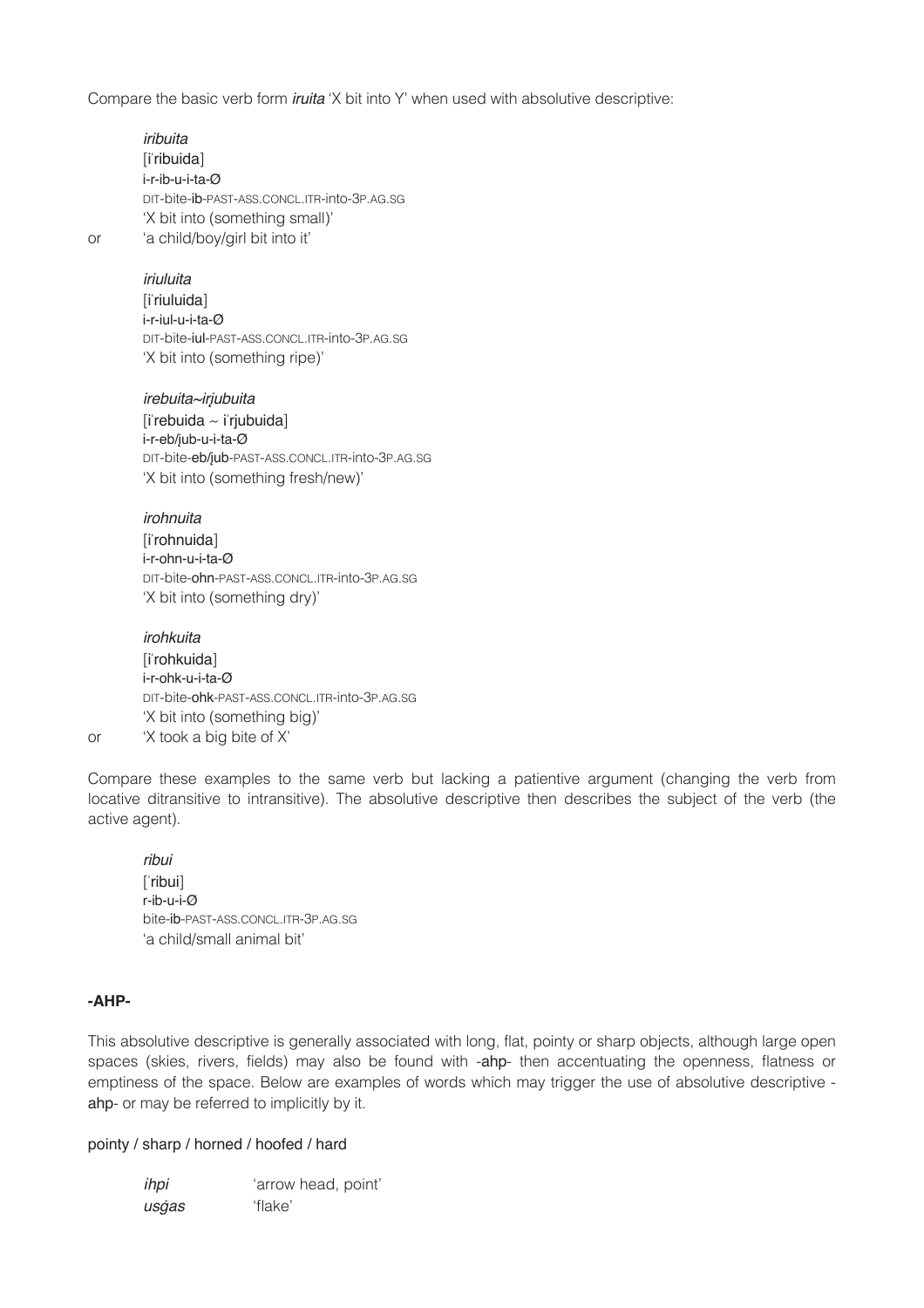Compare the basic verb form *iruita* 'X bit into Y' when used with absolutive descriptive:

*iribuita*!! ! [iˈribuida] i-r-ib-u-i-ta-Ø DIT-bite-ib-PAST-ASS.CONCL.ITR-into-3P.AG.SG 'X bit into (something small)' or 'a child/boy/girl bit into it'

#### *iriuluita*!! !

[i<sup>'</sup>riuluida] i-r-iul-u-i-ta-Ø DIT-bite-iul-PAST-ASS.CONCL.ITR-into-3P.AG.SG 'X bit into (something ripe)'

*irebuita~ir*į*ubuita*  $[i$ rebuida ~  $[i]$ riubuida] i-r-eb/įub-u-i-ta-Ø DIT-bite-eb/įub-PAST-ASS.CONCL.ITR-into-3P.AG.SG 'X bit into (something fresh/new)'

#### *irohnuita*! !

[iˈrohnuida] i-r-ohn-u-i-ta-Ø DIT-bite-ohn-PAST-ASS.CONCL.ITR-into-3P.AG.SG 'X bit into (something dry)'

*irohkuita*! !

[iˈrohkuida] i-r-ohk-u-i-ta-Ø DIT-bite-ohk-PAST-ASS.CONCL.ITR-into-3P.AG.SG 'X bit into (something big)'

or 'X took a big bite of X'

Compare these examples to the same verb but lacking a patientive argument (changing the verb from locative ditransitive to intransitive). The absolutive descriptive then describes the subject of the verb (the active agent).

*ribui*!! ! [ˈribui] r-ib-u-i-Ø bite-ib-PAST-ASS.CONCL.ITR-3P.AG.SG 'a child/small animal bit'

#### **-AHP-**

This absolutive descriptive is generally associated with long, flat, pointy or sharp objects, although large open spaces (skies, rivers, fields) may also be found with -ahp- then accentuating the openness, flatness or emptiness of the space. Below are examples of words which may trigger the use of absolutive descriptive ahp- or may be referred to implicitly by it.

#### pointy / sharp / horned / hoofed / hard

*ihpi* "arrow head, point" *us*ġ*as*! ! 'flake'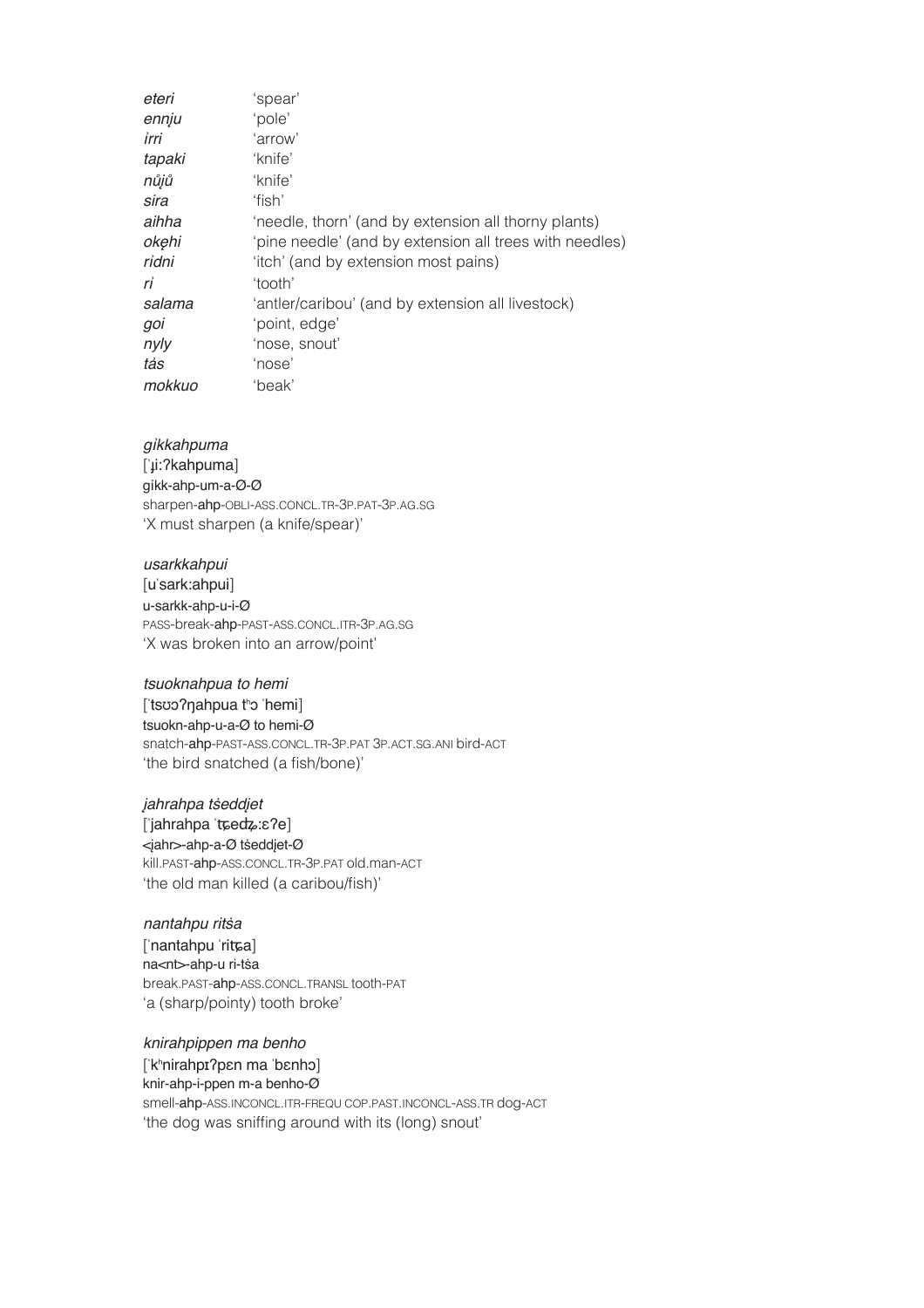| eteri  | 'spear'                                                 |
|--------|---------------------------------------------------------|
| ennju  | 'pole'                                                  |
| irri   | 'arrow'                                                 |
| tapaki | 'knife'                                                 |
| nůjů   | 'knife'                                                 |
| sira   | 'fish'                                                  |
| aihha  | 'needle, thorn' (and by extension all thorny plants)    |
| okęhi  | 'pine needle' (and by extension all trees with needles) |
| ridni  | 'itch' (and by extension most pains)                    |
| rỉ     | 'tooth'                                                 |
| salama | 'antler/caribou' (and by extension all livestock)       |
| goi    | 'point, edge'                                           |
| nyly   | 'nose, snout'                                           |
| tảs    | 'nose'                                                  |
| mokkuo | 'beak'                                                  |

#### gikkahpuma

['µi:?kahpuma] qikk-ahp-um-a-Ø-Ø sharpen-ahp-OBLI-ASS.CONCL.TR-3P.PAT-3P.AG.SG 'X must sharpen (a knife/spear)'

usarkkahpui [u'sark:ahpui] u-sarkk-ahp-u-i-Ø PASS-break-ahp-PAST-ASS.CONCL.ITR-3P.AG.SG 'X was broken into an arrow/point'

tsuoknahpua to hemi [tsʊɔʔŋahpua tho 'hemi] tsuokn-ahp-u-a-Ø to hemi-Ø snatch-ahp-PAST-ASS.CONCL.TR-3P.PAT 3P.ACT.SG.ANI bird-ACT 'the bird snatched (a fish/bone)'

jahrahpa tseddjet ['jahrahpa 'tɕedʑːɛʔe] <jahr>-ahp-a-Ø tseddjet-Ø kill.past-ahp-ass.concl.tr-3p.patold.man-act 'the old man killed (a caribou/fish)'

nantahpu ritsa ['nantahpu 'ritta] na<nt>-ahp-u ri-tsa break.past-ahp-ass.concl.transl.tooth-pat 'a (sharp/pointy) tooth broke'

knirahpippen ma benho ['k<sup>h</sup>nirahpɪ?pɛn ma 'bɛnhɔ] knir-ahp-i-ppen m-a benho-Ø smell-ahp-ASS.INCONCL.ITR-FREQU COP.PAST.INCONCL-ASS.TR dog-ACT 'the dog was sniffing around with its (long) snout'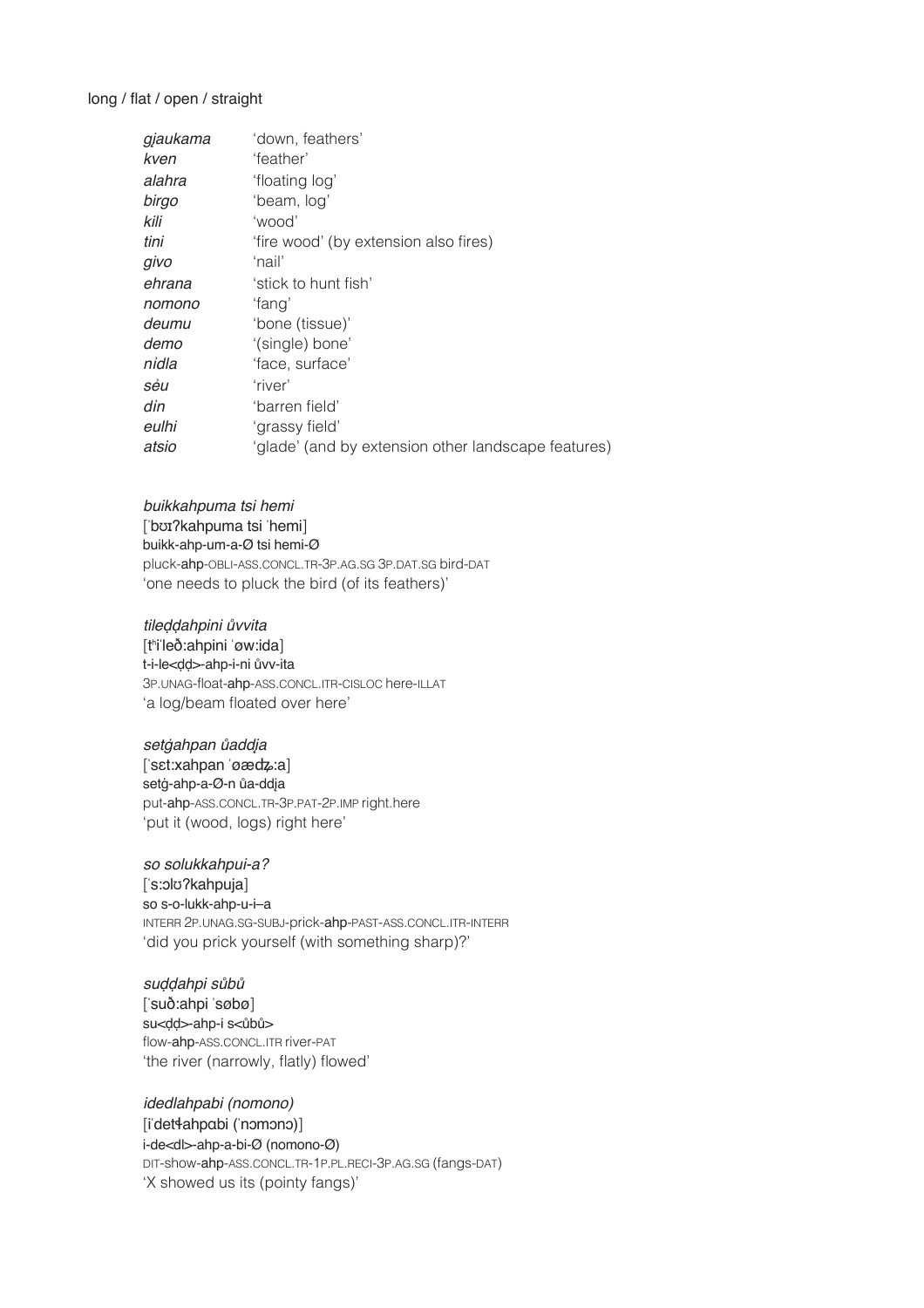#### long / flat / open / straight

| gjaukama | 'down, feathers'                                    |
|----------|-----------------------------------------------------|
| kven     | 'feather'                                           |
| alahra   | 'floating log'                                      |
| birgo    | 'beam, log'                                         |
| kili     | 'wood'                                              |
| tini     | 'fire wood' (by extension also fires)               |
| givo     | 'nail'                                              |
| ehrana   | 'stick to hunt fish'                                |
| nomono   | 'fang'                                              |
| deumu    | 'bone (tissue)'                                     |
| demo     | '(single) bone'                                     |
| nidla    | 'face, surface'                                     |
| sẻu      | 'river'                                             |
| din      | 'barren field'                                      |
| eulhi    | 'grassy field'                                      |
| atsio    | 'glade' (and by extension other landscape features) |
|          |                                                     |

#### buikkahpuma tsi hemi

['bʊɪ?kahpuma tsi 'hemi] buikk-ahp-um-a-Ø tsi hemi-Ø pluck-ahp-OBLI-ASS.CONCL.TR-3P.AG.SG 3P.DAT.SG bird-DAT 'one needs to pluck the bird (of its feathers)'

#### tileddahpini ůvvita

[thileð:ahpini 'øw:ida] t-i-le<dd>-ahp-i-ni ůvv-ita 3P.UNAG-float-ahp-ASS.CONCL.ITR-CISLOC here-ILLAT 'a log/beam floated over here'

setgahpan ůaddja ['sɛtːxahpan 'øædzːa] setġ-ahp-a-Ø-n ůa-ddįa put-ahp-ASS.CONCL.TR-3P.PAT-2P.IMP right.here 'put it (wood, logs) right here'

#### so solukkahpui-a?

['s:olo?kahpuja] so s-o-lukk-ahp-u-i-a INTERR 2P.UNAG.SG-SUBJ-prick-ahp-PAST-ASS.CONCL.ITR-INTERR 'did you prick yourself (with something sharp)?'

suddahpi sůbů ['suð:ahpi 'søbø] su<dd>-ahp-i s<ůbů> flow-ahp-ASS.CONCL.ITR river-PAT 'the river (narrowly, flatly) flowed'

idedlahpabi (nomono) [i'det4ahpabi ('nomono)] i-de<dl>-ahp-a-bi-Ø (nomono-Ø) DIT-show-ahp-ASS.CONCL.TR-1P.PL.RECI-3P.AG.SG (fangs-DAT) 'X showed us its (pointy fangs)'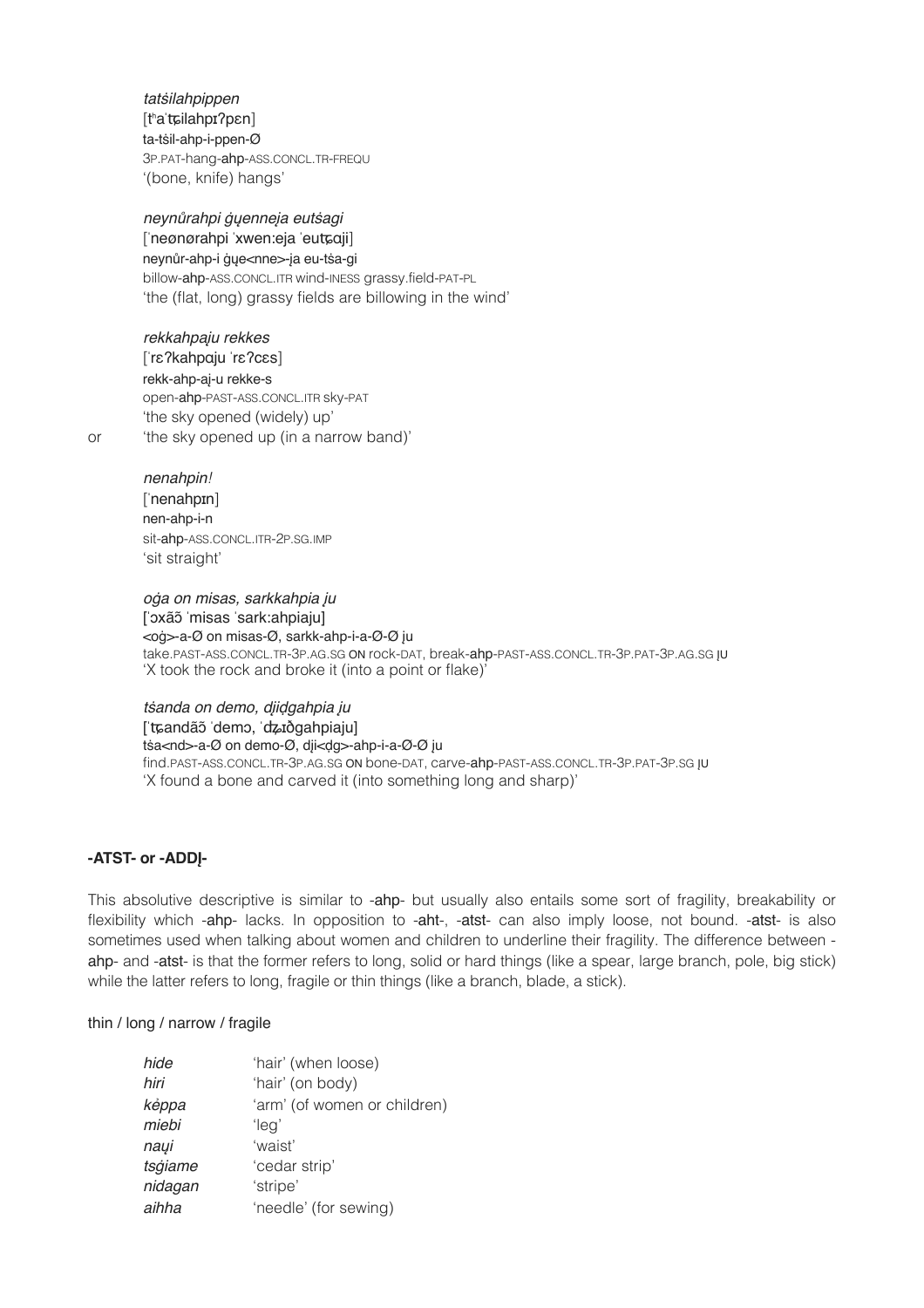*tat*ṡ*ilahpippen*!! ! [tʰaˈʨilahpɪʔpɛn] ta-tṡil-ahp-i-ppen-Ø 3P.PAT-hang-ahp-ASS.CONCL.TR-FREQU '(bone, knife) hangs'

*neyn*ů*rahpi* ġų*enne*į*a eut*ṡ*agi* [ˈneønørahpi ˈxwen:eja ˈeuʨɑji] neynůr-ahp-i ġųe<nne>-įa eu-tṡa-gi billow-ahp-ASS.CONCL.ITR wind-INESS grassy.field-PAT-PL 'the (flat, long) grassy fields are billowing in the wind'

*rekkahpa*į*u rekkes*! ! [ˈrɛʔkahpɑju ˈrɛʔcɛs] rekk-ahp-aį-u rekke-s open-ahp-PAST-ASS.CONCL.ITR sky-PAT 'the sky opened (widely) up' or 'the sky opened up (in a narrow band)'

 $n$ *enahpin*! ['nenahpɪn] nen-ahp-i-n sit-ahp-ASS.CONCL.ITR-2P.SG.IMP 'sit straight'

*o*ġ*a on misas, sarkkahpia* į*u* [ˈɔxãɔ̃ˈmisas ˈsark:ahpiaju] <oġ>-a-Ø on misas-Ø, sarkk-ahp-i-a-Ø-Ø įu take.PAST-ASS.CONCL.TR-3P.AG.SG ON rock-DAT, break-ahp-PAST-ASS.CONCL.TR-3P.PAT-3P.AG.SG ĮU 'X took the rock and broke it (into a point or flake)'

*t*ṡ*anda on demo, d*į*i*ḍ*gahpia* į*u* [ˈʨandãɔ̃ˈdemɔ, ˈʥɪðgahpiaju] tṡa<nd>-a-Ø on demo-Ø, dįi<ḍg>-ahp-i-a-Ø-Ø įu find.PAST-ASS.CONCL.TR-3P.AG.SG ON bone-DAT, carve-ahp-PAST-ASS.CONCL.TR-3P.PAT-3P.SG ĮU 'X found a bone and carved it (into something long and sharp)'

#### **-ATST- or -ADDĮ-**

This absolutive descriptive is similar to -ahp- but usually also entails some sort of fragility, breakability or flexibility which -ahp- lacks. In opposition to -aht-, -atst- can also imply loose, not bound. -atst- is also sometimes used when talking about women and children to underline their fragility. The difference between ahp- and -atst- is that the former refers to long, solid or hard things (like a spear, large branch, pole, big stick) while the latter refers to long, fragile or thin things (like a branch, blade, a stick).

#### thin / long / narrow / fragile

| hide    | 'hair' (when loose)          |
|---------|------------------------------|
| hiri    | 'hair' (on body)             |
| képpa   | 'arm' (of women or children) |
| miebi   | 'leg'                        |
| naųi    | 'waist'                      |
| tsģiame | 'cedar strip'                |
| nidagan | 'stripe'                     |
| aihha   | 'needle' (for sewing)        |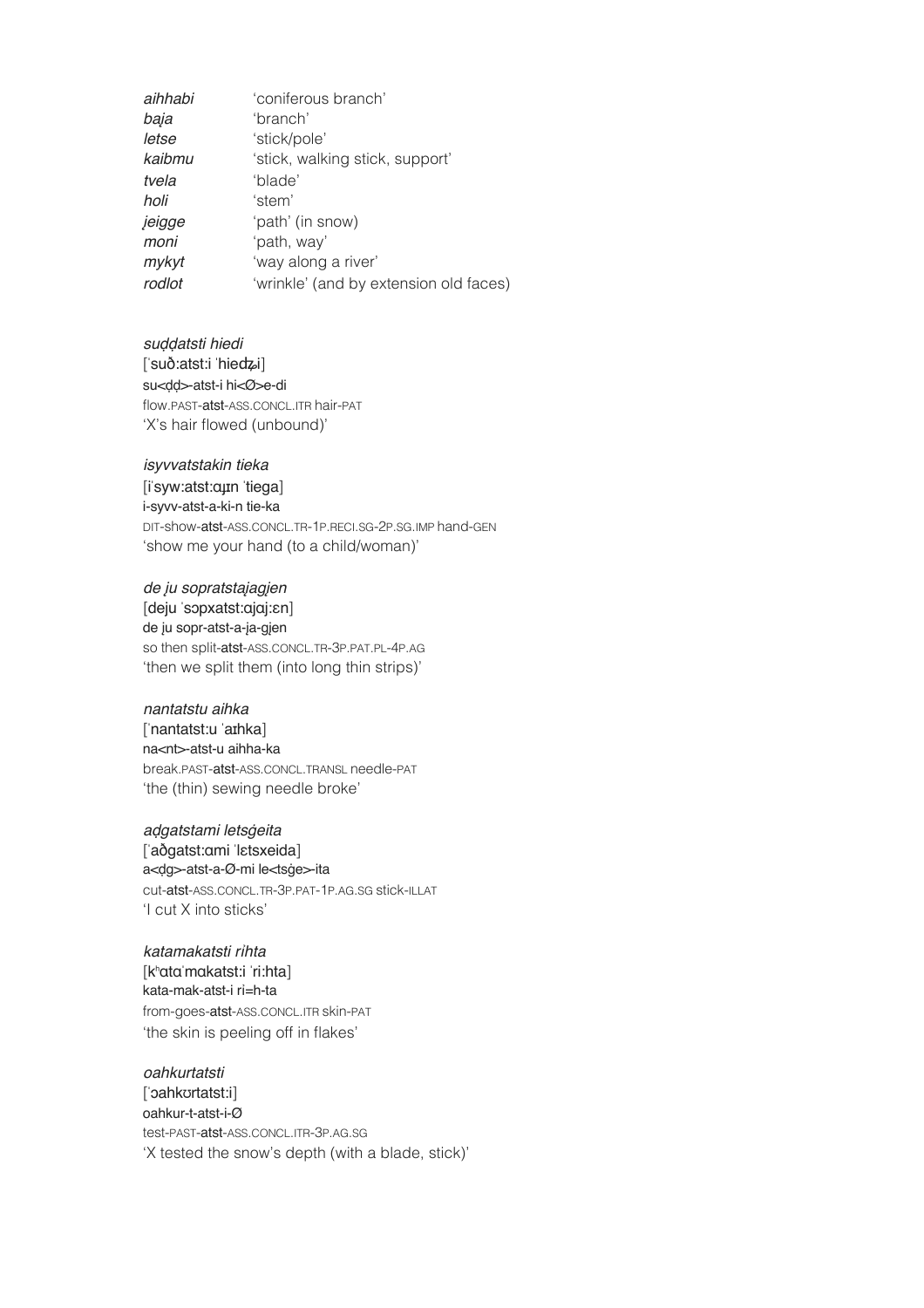| aihhabi | 'coniferous branch'                    |
|---------|----------------------------------------|
| baja    | 'branch'                               |
| letse   | 'stick/pole'                           |
| kaibmu  | 'stick, walking stick, support'        |
| tvela   | 'blade'                                |
| holi    | 'stem'                                 |
| jeigge  | 'path' (in snow)                       |
| moni    | 'path, way'                            |
| mykyt   | 'way along a river'                    |
| rodlot  | 'wrinkle' (and by extension old faces) |

*su*ḍḍ*atsti hiedi* ! ! [ˈsuð:atst:i ˈhieʥi] su<ḍḍ>-atst-i hi<Ø>e-di flow.PAST-atst-ASS.CONCL.ITR hair-PAT 'X's hair flowed (unbound)'

#### *isyvvatstakin tieka*

[iˈsyw:atst:ɑɟɪn ˈtiega] i-syvv-atst-a-ki-n tie-ka DIT-show-atst-ASS.CONCL.TR-1P.RECI.SG-2P.SG.IMP hand-GEN 'show me your hand (to a child/woman)'

#### *de* į*u sopratsta*į*ag*į*en*

[deju ˈsɔpxatst:ɑjɑj:ɛn] de įu sopr-atst-a-įa-gįen so then split-atst-ASS.CONCL.TR-3P.PAT.PL-4P.AG 'then we split them (into long thin strips)'

#### *nantatstu aihka* ! !

[ˈnantatst:u ˈaɪhka] na<nt>-atst-u aihha-ka break.PAST-atst-ASS.CONCL.TRANSL needle-PAT 'the (thin) sewing needle broke'

*a*ḍ*gatstami lets*ġ*eita*! !

[ˈaðgatst:ɑmi ˈlɛtsxeida] a<ḍg>-atst-a-Ø-mi le<tsġe>-ita cut-atst-ASS.CONCL.TR-3P.PAT-1P.AG.SG stick-ILLAT 'I cut X into sticks'

*katamakatsti r*ỉ*hta*! ! [kʰɑtɑˈmɑkatst:i ˈri:hta] kata-mak-atst-i rỉ=h-ta from-goes-atst-ASS.CONCL.ITR skin-PAT 'the skin is peeling off in flakes'

*oahkurtatsti* ! ! [ˈɔahkʊrtatst:i] oahkur-t-atst-i-Ø test-PAST-atst-ASS.CONCL.ITR-3P.AG.SG 'X tested the snow's depth (with a blade, stick)'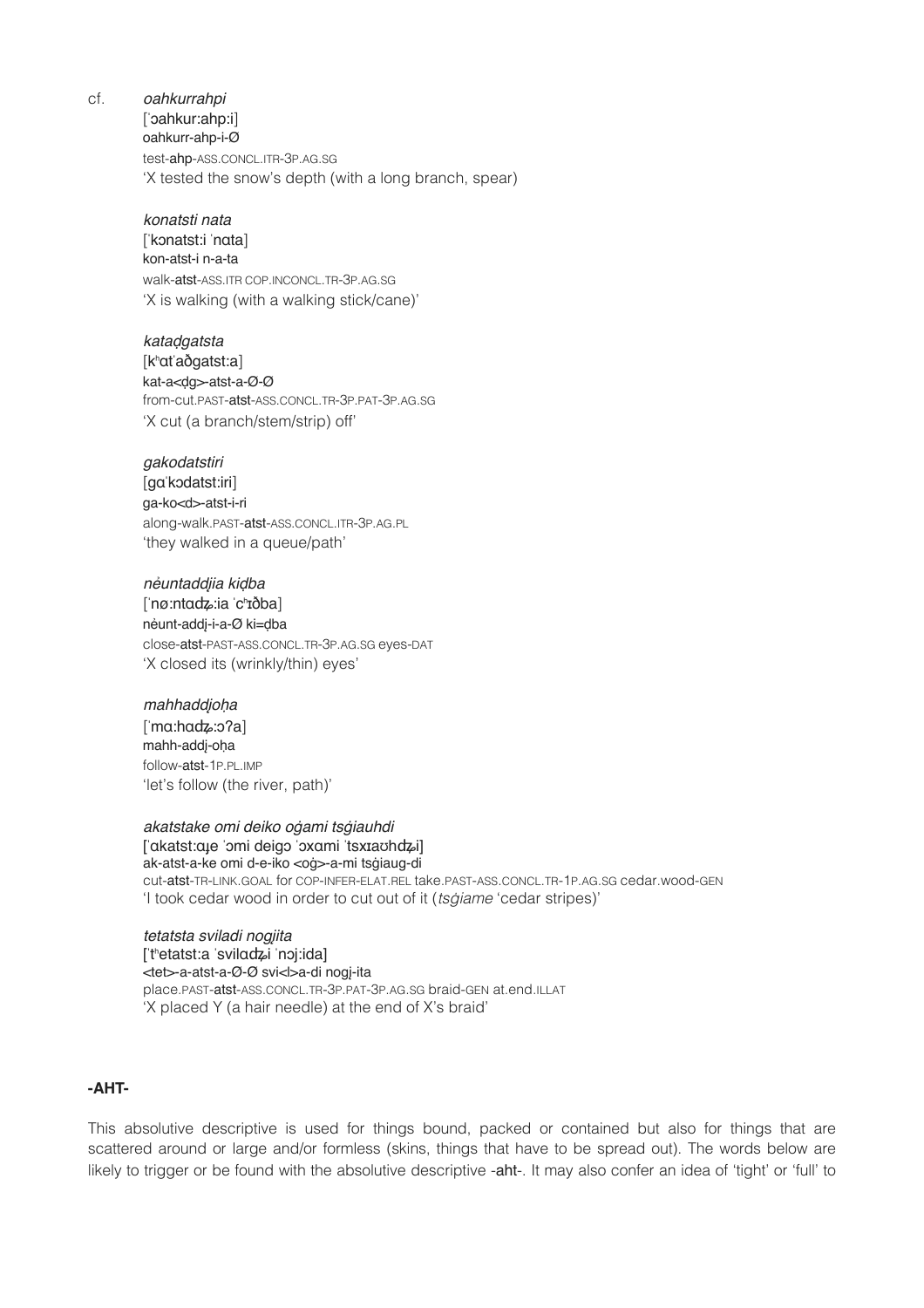cf. *oahkurrahpi* 

[ˈɔahkur:ahp:i] oahkurr-ahp-i-Ø test-ahp-ASS.CONCL.ITR-3P.AG.SG 'X tested the snow's depth (with a long branch, spear)

#### *konatsti nata*!! !

[ˈkɔnatst:i ˈnɑta] kon-atst-i n-a-ta walk-atst-ASS.ITR COP.INCONCL.TR-3P.AG.SG 'X is walking (with a walking stick/cane)'

#### *kata*ḍ*gatsta*!! !

[kʰɑtˈaðgatst:a] kat-a<ḍg>-atst-a-Ø-Ø from-cut.PAST-atst-ASS.CONCL.TR-3P.PAT-3P.AG.SG 'X cut (a branch/stem/strip) off'

*gakodatstiri*!! ! [gɑˈkɔdatst:iri]

ga-ko<d>-atst-i-ri along-walk.PAST-atst-ASS.CONCL.ITR-3P.AG.PL 'they walked in a queue/path'

*n*ẻ*untadd*į*ia ki*ḍ*ba*! ! [ˈnø:ntɑʥ:ia ˈcʰɪðba] nẻunt-addį-i-a-Ø ki=ḍba close-atst-PAST-ASS.CONCL.TR-3P.AG.SG eyes-DAT 'X closed its (wrinkly/thin) eyes'

#### *mahhadd*į*o*ḥ*a*!! !

[ˈmɑ:hɑʥ:ɔʔa] mahh-addį-oḥa follow-atst-1P.PL.IMP 'let's follow (the river, path)'

*akatstake omi deiko o*ġ*ami ts*ġ*iauhdi*  [ˈɑkatst:ɑɟe ˈɔmi deigɔ ˈɔxɑmi ˈtsxɪaʊhʥi] ak-atst-a-ke omi d-e-iko <oġ>-a-mi tsġiaug-di cut-atst-TR-LINK.GOAL for COP-INFER-ELAT.REL take.PAST-ASS.CONCL.TR-1P.AG.SG cedar.wood-GEN

'I took cedar wood in order to cut out of it (*ts*ġ*iame* 'cedar stripes)'

#### *tetatsta sviladi nog*į*ita*

[ˈtʰetatst:a ˈsvilɑʥi ˈnɔj:ida] <tet>-a-atst-a-Ø-Ø svi<l>a-di nogį-ita place.PAST-atst-ASS.CONCL.TR-3P.PAT-3P.AG.SG braid-GEN at.end.ILLAT 'X placed Y (a hair needle) at the end of X's braid'

#### **-AHT-**

This absolutive descriptive is used for things bound, packed or contained but also for things that are scattered around or large and/or formless (skins, things that have to be spread out). The words below are likely to trigger or be found with the absolutive descriptive -aht-. It may also confer an idea of 'tight' or 'full' to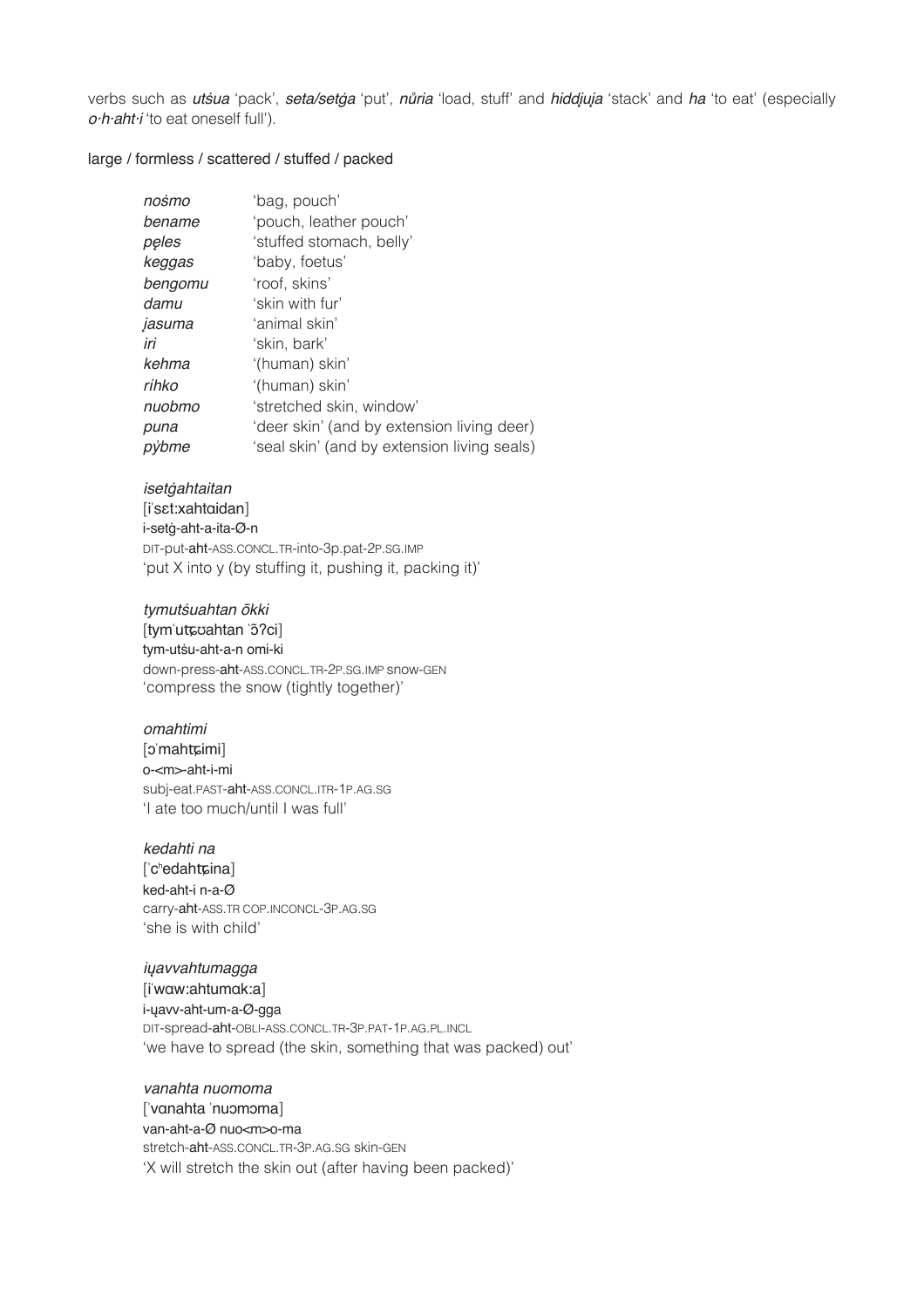verbs such as *ut*ṡ*ua* 'pack', *seta/set*ġ*a* 'put', *n*ů*ria* 'load, stuff' and *hidd*į*u*į*a* 'stack' and *ha* 'to eat' (especially *o·h·aht·i* 'to eat oneself full').

#### large / formless / scattered / stuffed / packed

| nośmo   | 'bag, pouch'                                |
|---------|---------------------------------------------|
| bename  | 'pouch, leather pouch'                      |
| pęles   | 'stuffed stomach, belly'                    |
| keggas  | 'baby, foetus'                              |
| bengomu | 'roof, skins'                               |
| damu    | 'skin with fur'                             |
| jasuma  | 'animal skin'                               |
| iri     | 'skin, bark'                                |
| kehma   | '(human) skin'                              |
| rihko   | '(human) skin'                              |
| nuobmo  | 'stretched skin, window'                    |
| puna    | 'deer skin' (and by extension living deer)  |
| pýbme   | 'seal skin' (and by extension living seals) |

#### *iset*ġ*ahtaitan* # #

[iˈsɛt:xahtɑidan] i-setġ-aht-a-ita-Ø-n DIT-put-aht-ASS.CONCL.TR-into-3p.pat-2P.SG.IMP 'put X into y (by stuffing it, pushing it, packing it)'

*tymut*ṡ*uahtan õkki*

[tymˈuʨʊahtan ˈɔ̃ʔci] tym-utṡu-aht-a-n omi-ki down-press-aht-ASS.CONCL.TR-2P.SG.IMP snow-GEN 'compress the snow (tightly together)'

#### *omahtimi*! !

[pmahtɕimi] o-<m>-aht-i-mi subj-eat.PAST-aht-ASS.CONCL.ITR-1P.AG.SG 'I ate too much/until I was full'

#### *kedahti na*! !

['c<sup>h</sup>edahtɕina] ked-aht-i n-a-Ø carry-aht-ASS.TR COP.INCONCL-3P.AG.SG 'she is with child'

#### *i*ų*avvahtumagga*

[iˈwɑw:ahtumɑk:a] i-ųavv-aht-um-a-Ø-gga DIT-spread-aht-OBLI-ASS.CONCL.TR-3P.PAT-1P.AG.PL.INCL 'we have to spread (the skin, something that was packed) out'

#### *vanahta nuomoma*

[ˈvɑnahta ˈnuɔmɔma] van-aht-a-Ø nuo<m>o-ma stretch-aht-ASS.CONCL.TR-3P.AG.SG skin-GEN 'X will stretch the skin out (after having been packed)'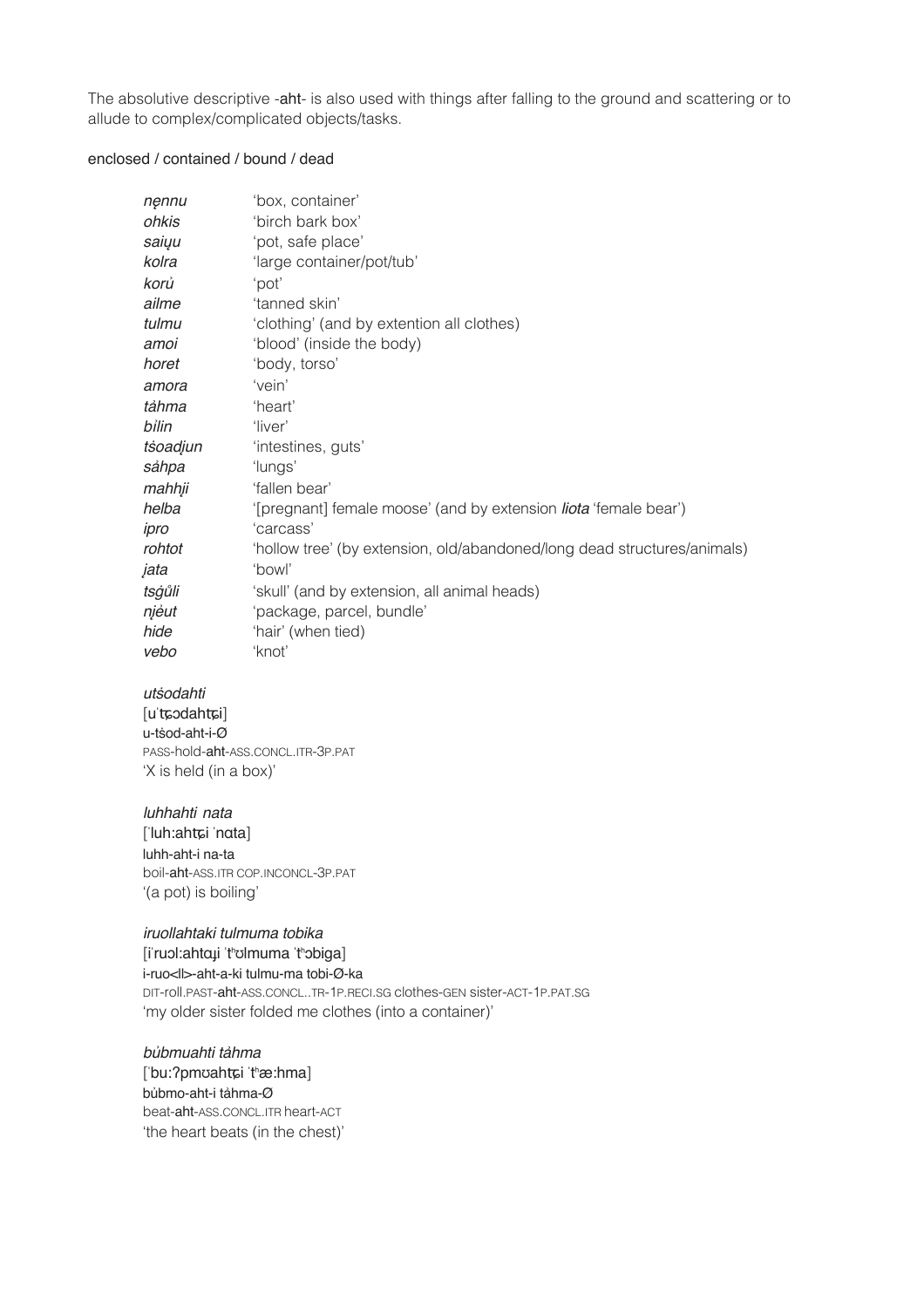The absolutive descriptive -aht- is also used with things after falling to the ground and scattering or to allude to complex/complicated objects/tasks.

#### enclosed / contained / bound / dead

| nęnnu    | 'box, container'                                                         |
|----------|--------------------------------------------------------------------------|
| ohkis    | 'birch bark box'                                                         |
| saiyu    | 'pot, safe place'                                                        |
| kolra    | 'large container/pot/tub'                                                |
| korů     | 'pot'                                                                    |
| ailme    | 'tanned skin'                                                            |
| tulmu    | 'clothing' (and by extention all clothes)                                |
| amoi     | 'blood' (inside the body)                                                |
| horet    | 'body, torso'                                                            |
| amora    | 'vein'                                                                   |
| tảhma    | 'heart'                                                                  |
| bilin    | 'liver'                                                                  |
| tsoadjun | 'intestines, guts'                                                       |
| sáhpa    | 'lungs'                                                                  |
| mahhji   | 'fallen bear'                                                            |
| helba    | '[pregnant] female moose' (and by extension <i>liota</i> 'female bear')  |
| ipro     | 'carcass'                                                                |
| rohtot   | 'hollow tree' (by extension, old/abandoned/long dead structures/animals) |
| jata     | 'bowl'                                                                   |
| tsġůli   | 'skull' (and by extension, all animal heads)                             |
| njéut    | 'package, parcel, bundle'                                                |
| hide     | 'hair' (when tied)                                                       |
| vebo     | 'knot'                                                                   |

utśodahti [uˈtɕɔdahtɕi] u-tsod-aht-i-Ø PASS-hold-aht-ASS.CONCL.ITR-3P.PAT

'X is held (in a box)'

luhhahti nata

['luh:ahtɕi 'nɑta] luhh-aht-i na-ta boil-aht-ASS.ITR COP.INCONCL-3P.PAT '(a pot) is boiling'

iruollahtaki tulmuma tobika [i'ruol:ahtaji 'tholmuma 'thobiga] i-ruo<ll>-aht-a-ki tulmu-ma tobi-Ø-ka DIT-roll.PAST-aht-ASS.CONCL..TR-1P.RECI.SG clothes-GEN sister-ACT-1P.PAT.SG 'my older sister folded me clothes (into a container)'

búbmuahti táhma ['bu:?pmoahtɕi 'thæ:hma] bůbmo-aht-i táhma-Ø beat-aht-ASS.CONCL.ITR heart-ACT 'the heart beats (in the chest)'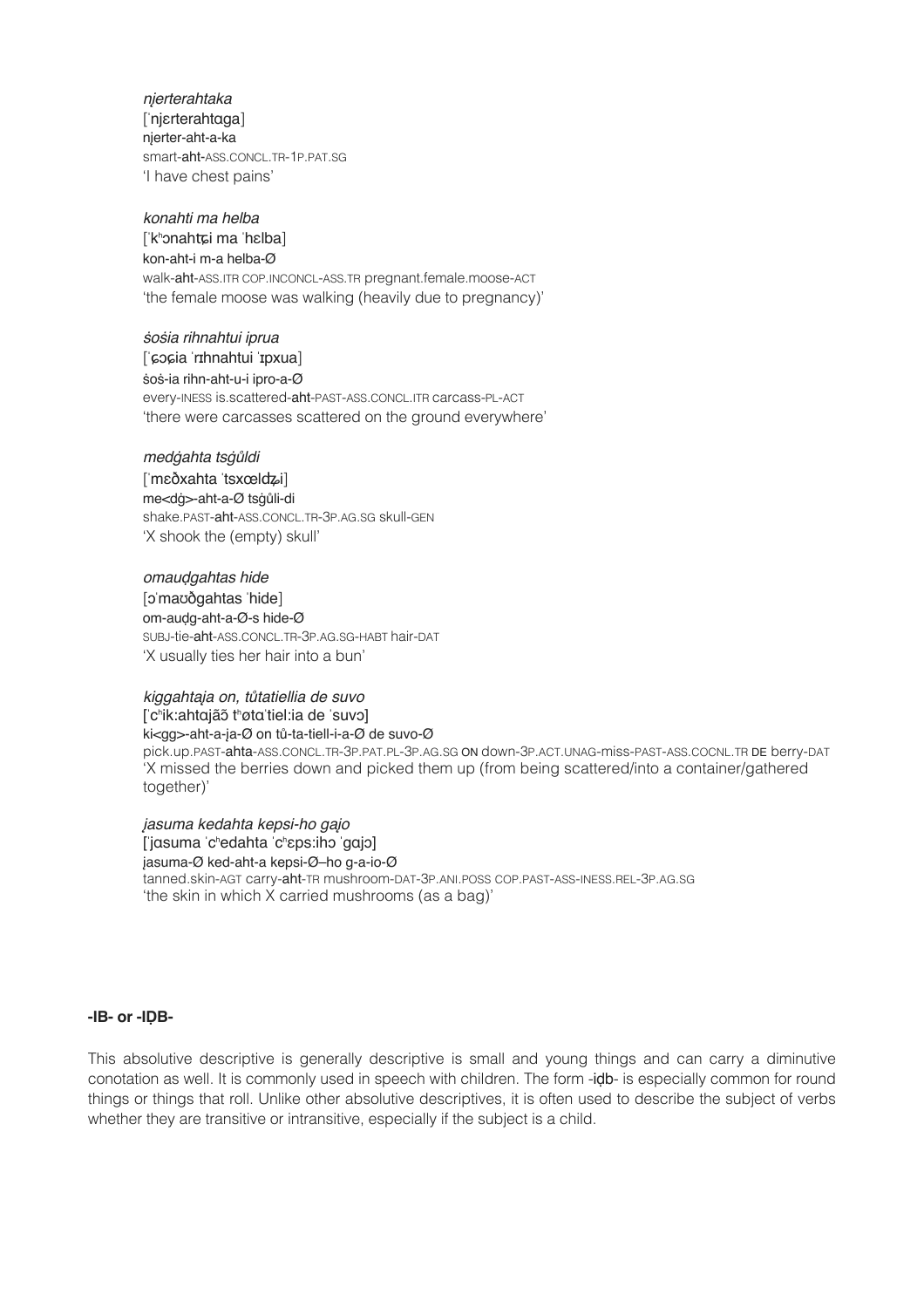*n*į*erterahtaka*!! ! [ˈnjɛrterahtɑga] nįerter-aht-a-ka smart-aht-ASS.CONCL.TR-1P.PAT.SG 'I have chest pains'

*konahti ma helba*! ! [ˈkʰɔnahʨi ma ˈhɛlba] kon-aht-i m-a helba-Ø walk-aht-ASS.ITR COP.INCONCL-ASS.TR pregnant.female.moose-ACT 'the female moose was walking (heavily due to pregnancy)'

# ṡ*o*ṡ*ia rihnahtui iprua*! ! [ˈɕɔɕia ˈrɪhnahtui ˈɪpxua]  $$oś-ia rihn-aht-u-i ipro-a-Ø$ every-INESS is.scattered-aht-PAST-ASS.CONCL.ITR carcass-PL-ACT 'there were carcasses scattered on the ground everywhere'

*med*ġ*ahta ts*ġů*ldi*# # [ˈmɛðxahta ˈtsxœlʥi] me<dġ>-aht-a-Ø tsġůli-di shake.PAST-aht-ASS.CONCL.TR-3P.AG.SG skull-GEN 'X shook the (empty) skull'

*omau*ḍ*gahtas hide*! ! [ɔˈmaʊðgahtas ˈhide] om-auḍg-aht-a-Ø-s hide-Ø SUBJ-tie-aht-ASS.CONCL.TR-3P.AG.SG-HABT hair-DAT 'X usually ties her hair into a bun'

*kiggahta*į*a on, t*ů*tatiellia de suvo* [ˈcʰik:ahtɑjãɔ̃ tʰøtɑˈtiel:ia de ˈsuvɔ] ki<gg>-aht-a-įa-Ø on tů-ta-tiell-i-a-Ø de suvo-Ø pick.up.PAST-ahta-ASS.CONCL.TR-3P.PAT.PL-3P.AG.SG ON down-3P.ACT.UNAG-miss-PAST-ASS.COCNL.TR DE berry-DAT 'X missed the berries down and picked them up (from being scattered/into a container/gathered together)'

# į*asuma kedahta kepsi-ho ga*į*o* [ˈjɑsuma ˈcʰedahta ˈcʰɛps:ihɔ ˈgɑjɔ] jasuma-Ø ked-aht-a kepsi-Ø-ho q-a-io-Ø tanned.skin-AGT carry-aht-TR mushroom-DAT-3P.ANI.POSS COP.PAST-ASS-INESS.REL-3P.AG.SG 'the skin in which X carried mushrooms (as a bag)'

#### **-IB- or -IḌB-**

This absolutive descriptive is generally descriptive is small and young things and can carry a diminutive conotation as well. It is commonly used in speech with children. The form -iḍb- is especially common for round things or things that roll. Unlike other absolutive descriptives, it is often used to describe the subject of verbs whether they are transitive or intransitive, especially if the subject is a child.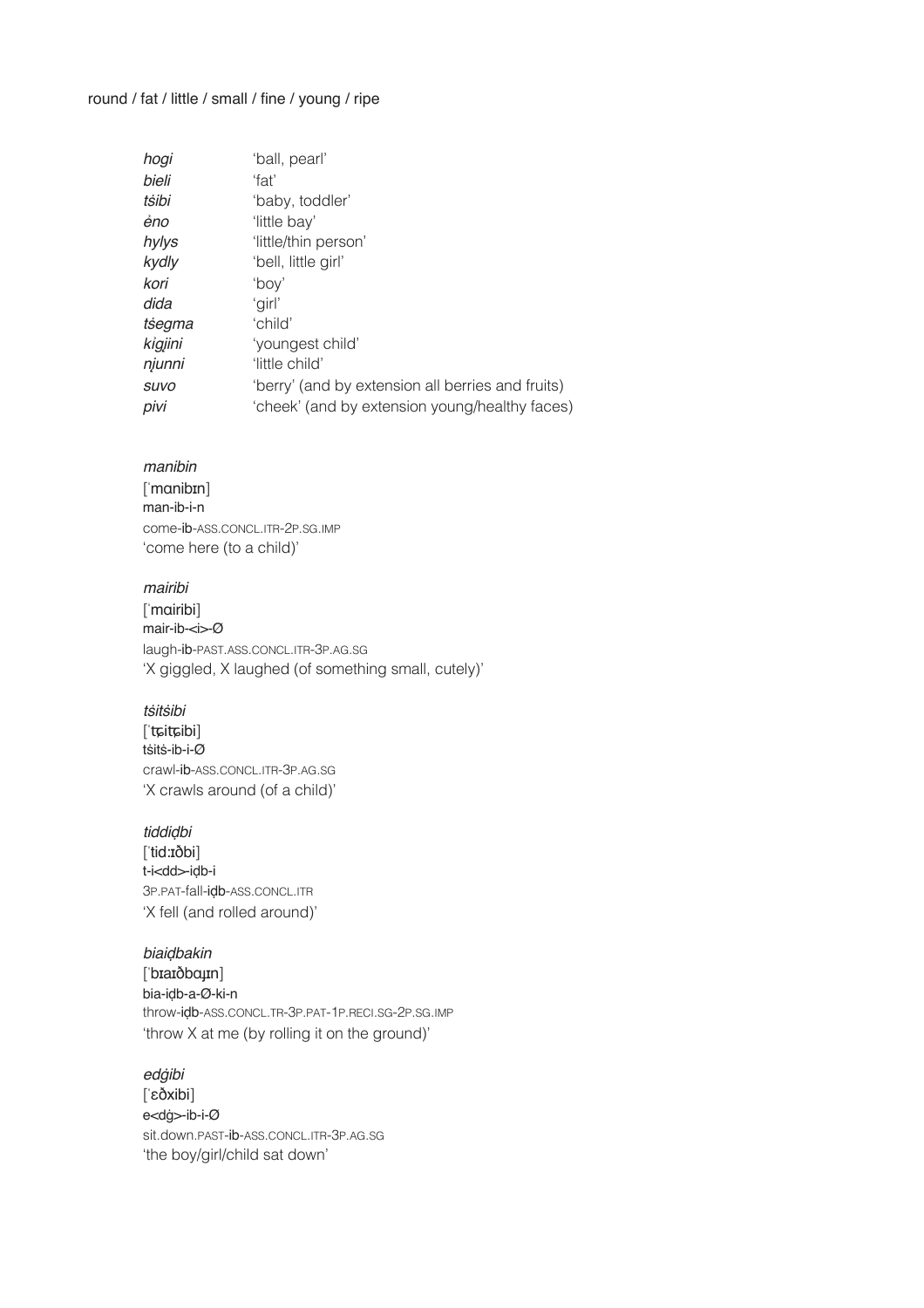#### round / fat / little / small / fine / young / ripe

| hogi        | 'ball, pearl'                                     |
|-------------|---------------------------------------------------|
| bieli       | ʻfat'                                             |
| tsibi       | 'baby, toddler'                                   |
| éno         | 'little bay'                                      |
| hylys       | 'little/thin person'                              |
| kydly       | 'bell, little girl'                               |
| kori        | 'bov'                                             |
| dida        | 'girl'                                            |
| tsegma      | 'child'                                           |
| kigjini     | 'youngest child'                                  |
| njunni      | 'little child'                                    |
| <b>SUVO</b> | 'berry' (and by extension all berries and fruits) |
| pivi        | 'cheek' (and by extension young/healthy faces)    |

#### *manibin*!! !

[ˈmɑnibɪn] man-ib-i-n come-ib-ASS.CONCL.ITR-2P.SG.IMP 'come here (to a child)'

#### *mairibi*! !

[ˈmɑiribi] mair-ib-<i>-Ø laugh-ib-PAST.ASS.CONCL.ITR-3P.AG.SG 'X giggled, X laughed (of something small, cutely)'

#### *t*ṡ*it*ṡ*ibi*!! !

[ˈʨiʨibi] tṡitṡ-ib-i-Ø crawl-ib-ASS.CONCL.ITR-3P.AG.SG 'X crawls around (of a child)'

#### *tiddi*ḍ*bi*!! !

[ˈtid:ɪðbi] t-i<dd>-iḍb-i 3P.PAT-fall-iḍb-ASS.CONCL.ITR 'X fell (and rolled around)'

#### *biai*ḍ*bakin*! !

[ˈbɪaɪðbɑɟɪn] bia-iḍb-a-Ø-ki-n throw-iḍb-ASS.CONCL.TR-3P.PAT-1P.RECI.SG-2P.SG.IMP 'throw X at me (by rolling it on the ground)'

#### *ed*ġ*ibi*!! !

[ˈɛðxibi] e<dġ>-ib-i-Ø sit.down.PAST-ib-ASS.CONCL.ITR-3P.AG.SG 'the boy/girl/child sat down'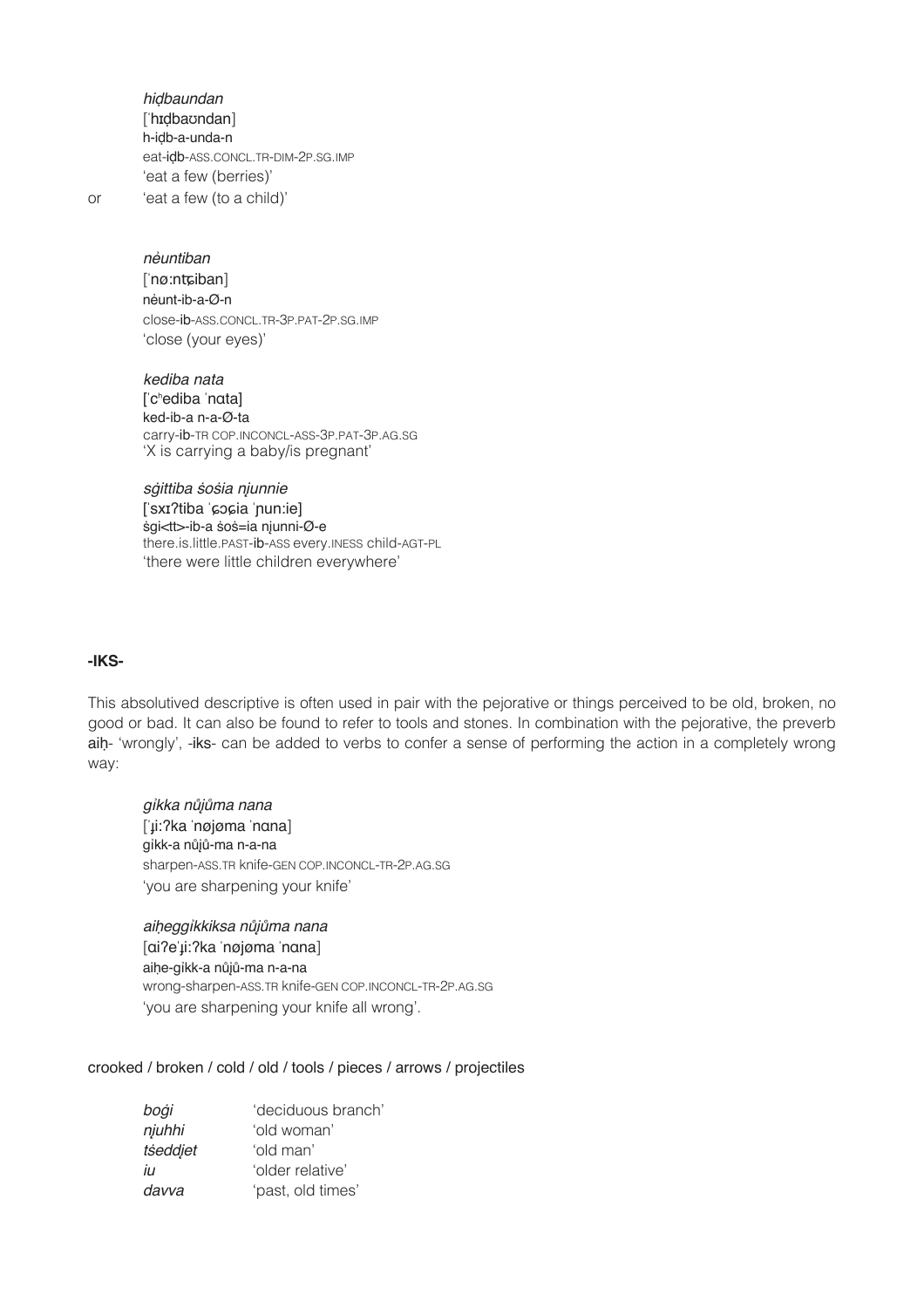*hi*ḍ*baundan*! ! ['hɪdbaʊndan] h-iḍb-a-unda-n eat-iḍb-ASS.CONCL.TR-DIM-2P.SG.IMP 'eat a few (berries)' or 'eat a few (to a child)'

*n*ẻ*untiban*! !

[ˈnø:nʨiban] nẻunt-ib-a-Ø-n close-ib-ASS.CONCL.TR-3P.PAT-2P.SG.IMP 'close (your eyes)'

*kediba nata* [ˈcʰediba ˈnɑta] ked-ib-a n-a-Ø-ta carry-ib-TR COP.INCONCL-ASS-3P.PAT-3P.AG.SG 'X is carrying a baby/is pregnant'

*s*ġ*ittiba* ṡ*o*ṡ*ia n*į*unnie* [ˈsxɪʔtiba ˈɕɔɕia ˈɲun:ie] # ṡgi<tt>-ib-a ṡoṡ=ia nįunni-Ø-e there.is.little.PAST-ib-ASS every.INESS child-AGT-PL 'there were little children everywhere'

#### **-IKS-**

This absolutived descriptive is often used in pair with the pejorative or things perceived to be old, broken, no good or bad. It can also be found to refer to tools and stones. In combination with the pejorative, the preverb aih- 'wrongly', -iks- can be added to verbs to confer a sense of performing the action in a completely wrong way:

*g*ỉ*kka n*ůįů*ma nana*! ! [ˈɟi:ʔka ˈnøjøma ˈnɑna] gỉkk-a nůįů-ma n-a-na sharpen-ASS.TR knife-GEN COP.INCONCL-TR-2P.AG.SG 'you are sharpening your knife'

#### *ai*ḥ*egg*ỉ*kkiksa n*ůįů*ma nana*

[ɑiʔeˈɟi:ʔka ˈnøjøma ˈnɑna] aihe-gỉkk-a nůjů-ma n-a-na wrong-sharpen-ASS.TR knife-GEN COP.INCONCL-TR-2P.AG.SG 'you are sharpening your knife all wrong'.

crooked / broken / cold / old / tools / pieces / arrows / projectiles

| boġi     | 'deciduous branch' |
|----------|--------------------|
| njuhhi   | 'old woman'        |
| tseddjet | 'old man'          |
| İЦ       | 'older relative'   |
| davva    | 'past, old times'  |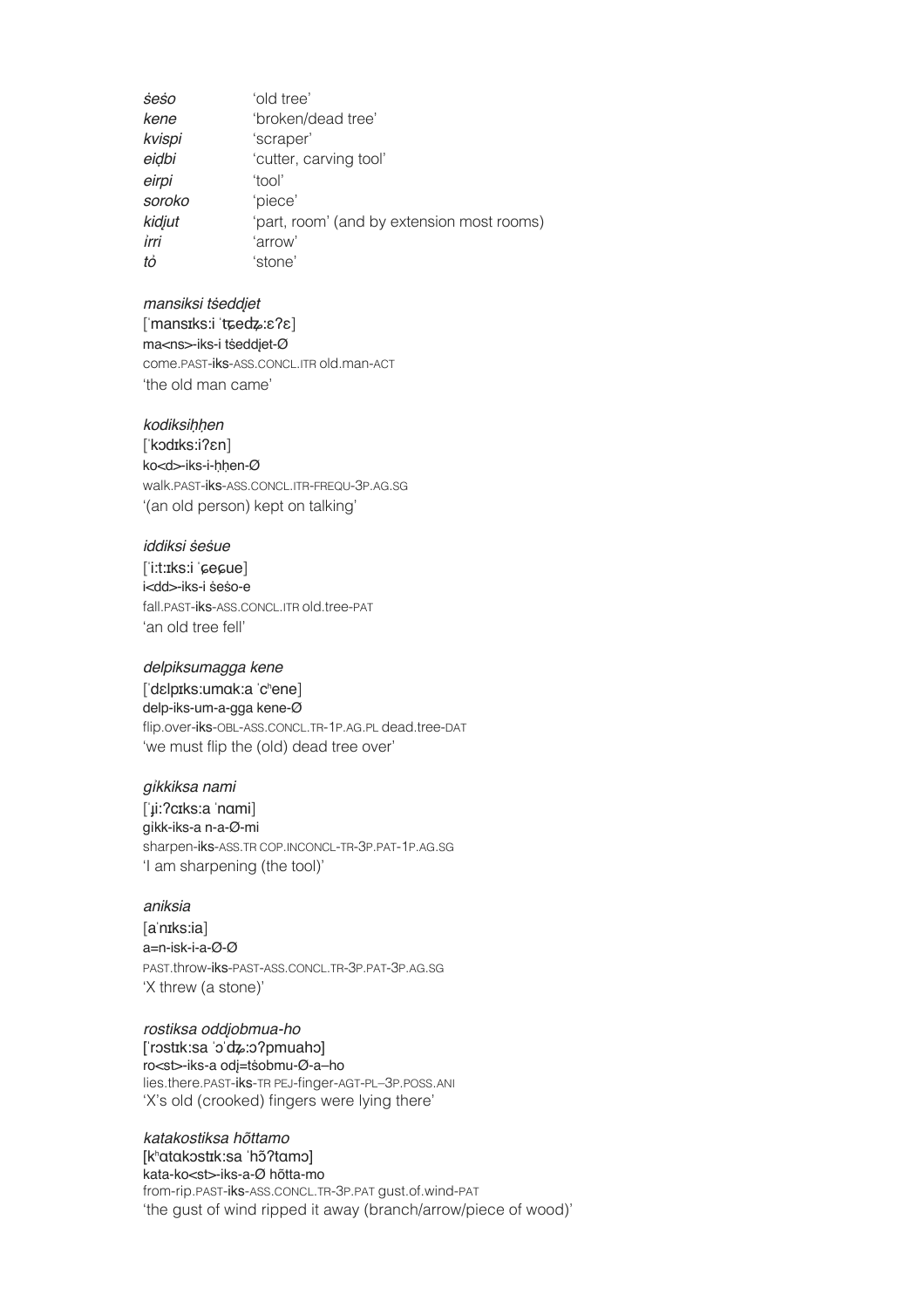| 'old tree'                                 |
|--------------------------------------------|
| 'broken/dead tree'                         |
| 'scraper'                                  |
| 'cutter, carving tool'                     |
| 'tool'                                     |
| 'piece'                                    |
| 'part, room' (and by extension most rooms) |
| 'arrow'                                    |
| 'stone'                                    |
|                                            |

#### *mansiksi t*ṡ*edd*į*et*! !

[ˈmansɪks:i ˈʨeʥ:ɛʔɛ] ma<ns>-iks-i tseddjet-Ø come.PAST-iks-ASS.CONCL.ITR old.man-ACT 'the old man came'

#### *kodiksi*ḥḥ*en*!! !

[ˈkɔdɪks:iʔɛn] ko<d>-iks-i-ḥḥen-Ø walk.PAST-iks-ASS.CONCL.ITR-FREQU-3P.AG.SG '(an old person) kept on talking'

#### *iddiksi* ṡ*e*ṡ*ue* ! !

[ˈi:t:ɪks:i ˈɕeɕue] i<dd>-iks-i ṡeṡo-e fall.PAST-iks-ASS.CONCL.ITR old.tree-PAT 'an old tree fell'

#### *delpiksumagga kene*! !

[ˈdɛlpɪks:umɑk:a ˈcʰene] delp-iks-um-a-gga kene-Ø flip.over-iks-OBL-ASS.CONCL.TR-1P.AG.PL dead.tree-DAT 'we must flip the (old) dead tree over'

#### *g*ỉ*kkiksa nami* ! !

[ˈɟi:ʔcɪks:a ˈnɑmi] gỉkk-iks-a n-a-Ø-mi sharpen-iks-ASS.TR COP.INCONCL-TR-3P.PAT-1P.AG.SG 'I am sharpening (the tool)'

#### *aniksia*!! !

[aˈnɪks:ia] a=n-isk-i-a-Ø-Ø PAST.throw-iks-PAST-ASS.CONCL.TR-3P.PAT-3P.AG.SG 'X threw (a stone)'

#### *rostiksa odd*į*obmua-ho*

[ˈrɔstɪk:sa ˈɔˈʥ:ɔʔpmuahɔ] ro<st>-iks-a odį=tṡobmu-Ø-a–ho lies.there.PAST-iks-TR PEJ-finger-AGT-PL–3P.POSS.ANI 'X's old (crooked) fingers were lying there'

#### *katakostiksa hõttamo* [kʰɑtɑkɔstɪk:sa ˈhɔ̃ʔtɑmɔ]

kata-ko<st>-iks-a-Ø hõtta-mo

from-rip.PAST-iks-ASS.CONCL.TR-3P.PAT gust.of.wind-PAT 'the gust of wind ripped it away (branch/arrow/piece of wood)'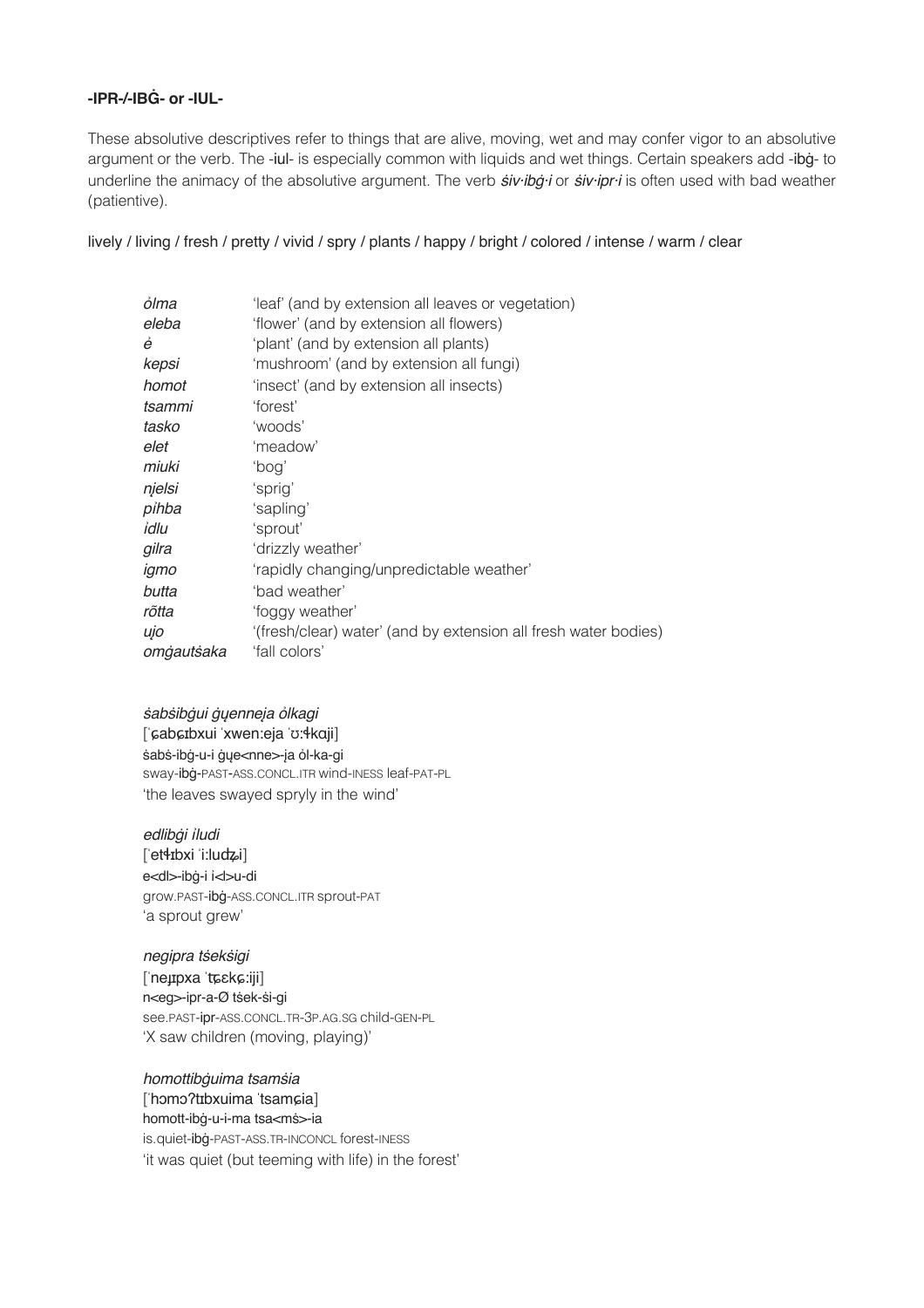#### -IPR-/-IRG- or -IIII -

These absolutive descriptives refer to things that are alive, moving, wet and may confer vigor to an absolutive argument or the verb. The -iul- is especially common with liquids and wet things. Certain speakers add -ibg-to underline the animacy of the absolutive argument. The verb siv-ibg-i or siv-ipr-i is often used with bad weather (patientive).

lively / living / fresh / pretty / vivid / spry / plants / happy / bright / colored / intense / warm / clear

| ỏlma       | 'leaf' (and by extension all leaves or vegetation)              |
|------------|-----------------------------------------------------------------|
| eleba      | 'flower' (and by extension all flowers)                         |
| ė          | 'plant' (and by extension all plants)                           |
| kepsi      | 'mushroom' (and by extension all fungi)                         |
| homot      | 'insect' (and by extension all insects)                         |
| tsammi     | 'forest'                                                        |
| tasko      | 'woods'                                                         |
| elet       | 'meadow'                                                        |
| miuki      | 'poa'                                                           |
| njelsi     | 'sprig'                                                         |
| pihba      | 'sapling'                                                       |
| idlu       | 'sprout'                                                        |
| gilra      | 'drizzly weather'                                               |
| igmo       | 'rapidly changing/unpredictable weather'                        |
| butta      | 'bad weather'                                                   |
| rõtta      | 'foggy weather'                                                 |
| ujo        | '(fresh/clear) water' (and by extension all fresh water bodies) |
| omgautsaka | 'fall colors'                                                   |

#### sabsibgui gųenneįa olkagi ['cabcibxui 'xwen:eja 'o:4kaji] sabs-ibg-u-i gye<nne>-ja ol-ka-gi sway-ibg-PAST-ASS.CONCL.ITR wind-INESS leaf-PAT-PL 'the leaves swayed spryly in the wind'

#### edlibģi iludi

[et4rbxi i:ludzi] e<dl>-ibġ-i i<l>u-di grow.PAST-ibg-ASS.CONCL.ITR sprout-PAT 'a sprout grew'

#### negipra tseksigi l'neupxa tosko:iii]

n<eg>-ipr-a-Ø tsek-si-gi see.PAST-ipr-ASS.CONCL.TR-3P.AG.SG child-GEN-PL 'X saw children (moving, playing)'

#### homottibguima tsamsia l'homo?trbxuima 'tsamcial homott-ibġ-u-i-ma tsa<mś>-ia

is.quiet-ibg-PAST-ASS.TR-INCONCL forest-INESS 'it was quiet (but teeming with life) in the forest'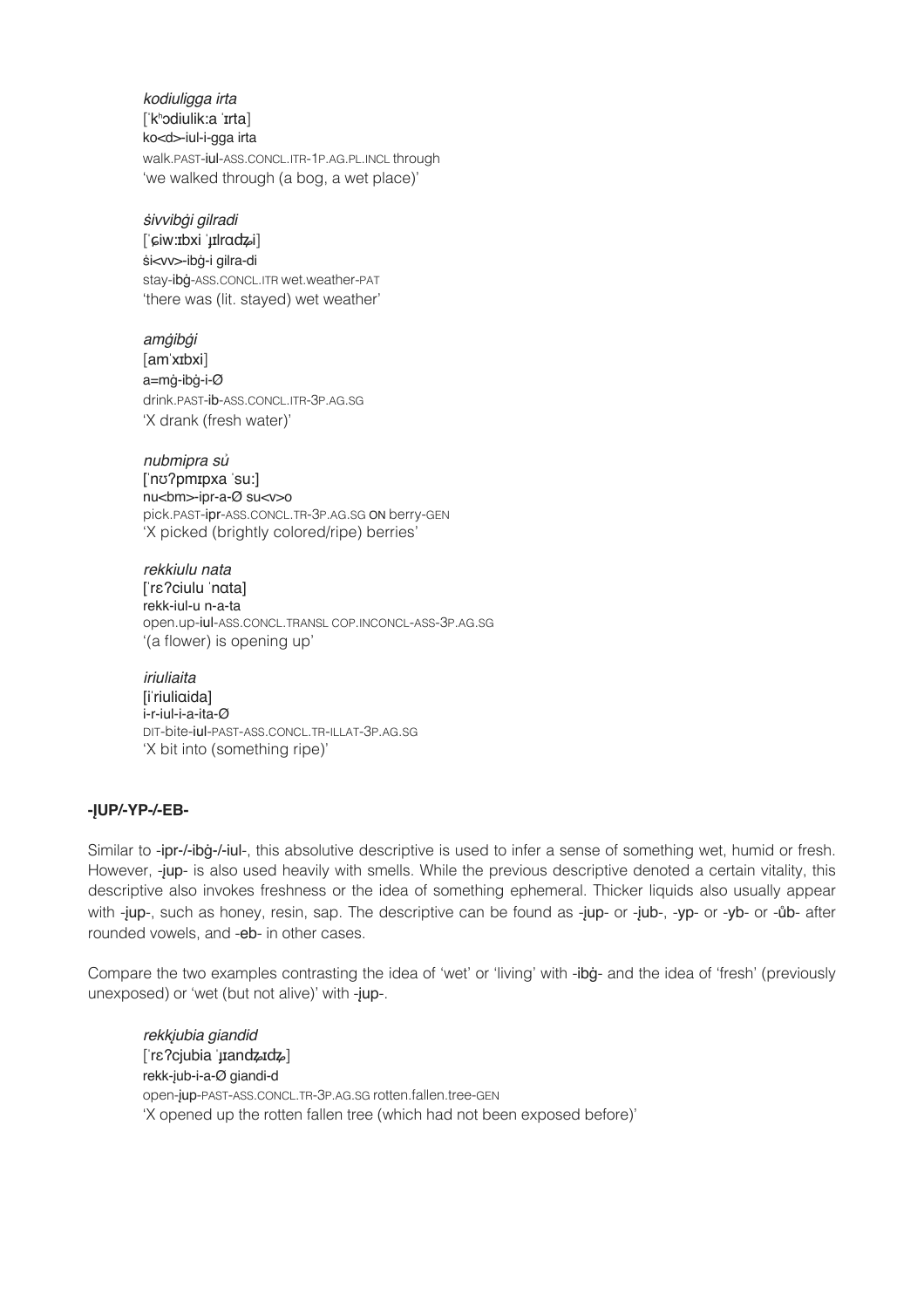*kodiuligga irta* !!! [ˈkʰɔdiulik:a ˈɪrta] ko<d>-iul-i-gga irta walk.PAST-iul-ASS.CONCL.ITR-1P.AG.PL.INCL through 'we walked through (a bog, a wet place)'

#### # ṡ*ivvib*ġ*i gilradi* !!!

[ˈɕiw:ɪbxi ˈɟɪlrɑʥi] śi<vv>-ibġ-i gilra-di stay-ibġ-ASS.CONCL.ITR wet.weather-PAT 'there was (lit. stayed) wet weather'

*am*ġ*ib*ġ*i*!! ! ! ! [amˈxɪbxi] a=mġ-ibġ-i-Ø drink.PAST-ib-ASS.CONCL.ITR-3P.AG.SG 'X drank (fresh water)'

*nubmipra s*ủ [ˈnʊʔpmɪpxa ˈsu:] nu<bm>-ipr-a-Ø su<v>o pick.PAST-ipr-ASS.CONCL.TR-3P.AG.SG ON berry-GEN 'X picked (brightly colored/ripe) berries'

*rekkiulu nata* [ˈrɛʔciulu ˈnɑta] rekk-iul-u n-a-ta open.up-iul-ASS.CONCL.TRANSL COP.INCONCL-ASS-3P.AG.SG '(a flower) is opening up'

*iriuliaita* [iˈriuliɑida] i-r-iul-i-a-ita-Ø DIT-bite-iul-PAST-ASS.CONCL.TR-ILLAT-3P.AG.SG 'X bit into (something ripe)'

#### **-ĮUP/-YP-/-EB-**

Similar to -ipr-/-ibġ-/-iul-, this absolutive descriptive is used to infer a sense of something wet, humid or fresh. However, -jup- is also used heavily with smells. While the previous descriptive denoted a certain vitality, this descriptive also invokes freshness or the idea of something ephemeral. Thicker liquids also usually appear with -jup-, such as honey, resin, sap. The descriptive can be found as -jup- or -jub-, -yp- or -yb- or -ůb- after rounded vowels, and -eb- in other cases.

Compare the two examples contrasting the idea of 'wet' or 'living' with -ibġ- and the idea of 'fresh' (previously unexposed) or 'wet (but not alive)' with -jup-.

*rekk*į*ubia giandid* [ˈrɛʔcjubia ˈɟɪanʥɪʥ] rekk-įub-i-a-Ø giandi-d open-įup-PAST-ASS.CONCL.TR-3P.AG.SG rotten.fallen.tree-GEN 'X opened up the rotten fallen tree (which had not been exposed before)'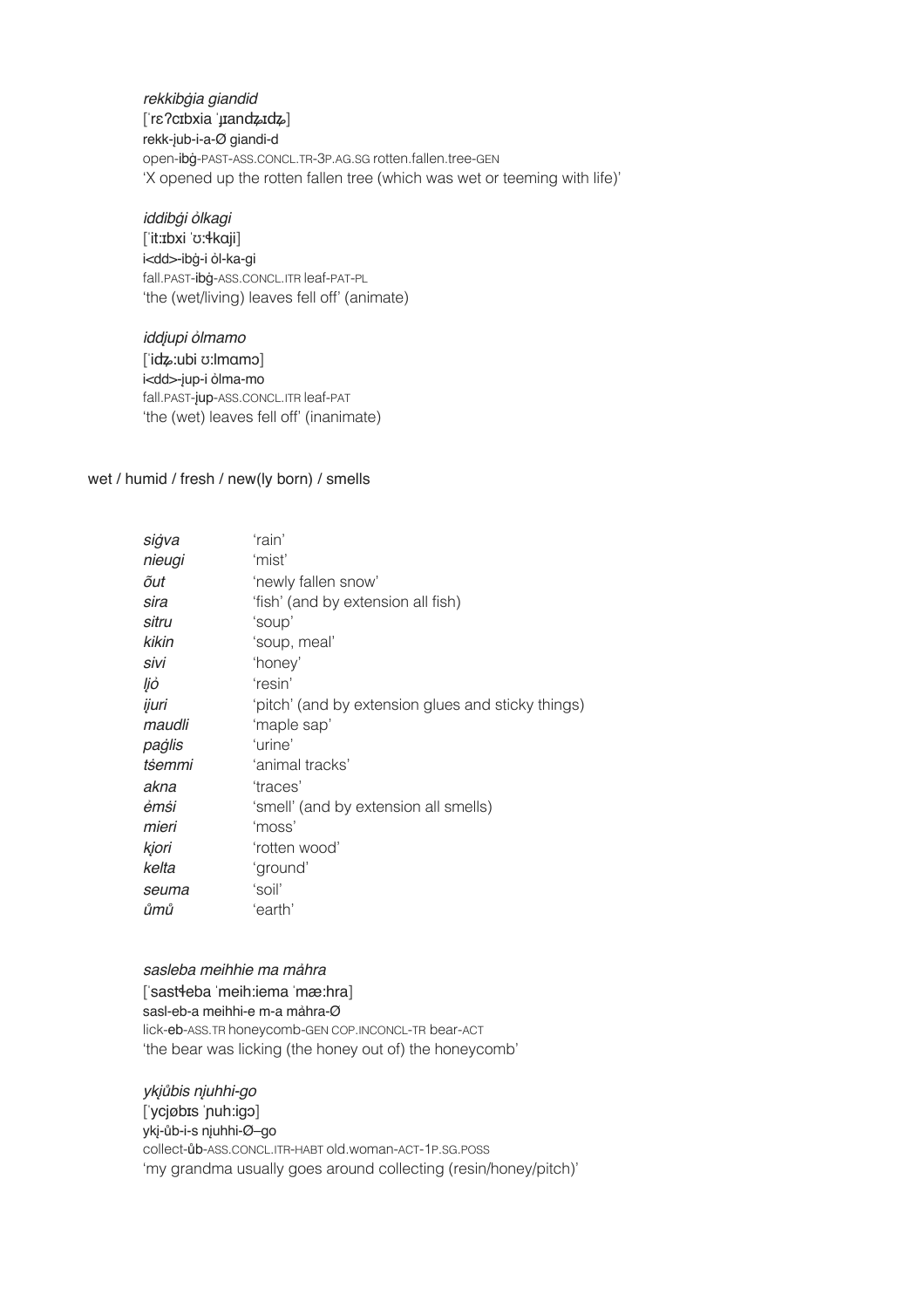*rekkib*ġ*ia giandid* [ˈrɛʔcɪbxia ˈɟɪanʥɪʥ] rekk-įub-i-a-Ø giandi-d open-ibġ-PAST-ASS.CONCL.TR-3P.AG.SG rotten.fallen.tree-GEN 'X opened up the rotten fallen tree (which was wet or teeming with life)'

#### *iddib*ġ*i* ỏ*lkagi*

[ˈit:ɪbxi ˈʊ:ɬkɑji] i<dd>-ibġ-i ỏl-ka-gi fall.PAST-ibġ-ASS.CONCL.ITR leaf-PAT-PL 'the (wet/living) leaves fell off' (animate)

*idd*į*upi* ỏ*lmamo* [ˈiʥ:ubi ʊ:lmɑmɔ] i<dd>-įup-i ỏlma-mo fall.PAST-įup-ASS.CONCL.ITR leaf-PAT 'the (wet) leaves fell off' (inanimate)

#### wet / humid / fresh / new(ly born) / smells

| siġva<br>'mist'<br>nieugi<br>õut<br>sira<br>sitru<br>kikin<br>sivi<br>ljó<br>ijuri<br>maudli<br>paġlis<br>tsemmi<br>akna<br>èmṡi<br>mieri<br>kjori<br>kelta<br>'soil'<br>seuma | 'newly fallen snow'<br>'fish' (and by extension all fish)<br>'soup'<br>'soup, meal'<br>'honey'<br>'resin'<br>'pitch' (and by extension glues and sticky things)<br>'maple sap'<br>'urine'<br>'animal tracks'<br>'traces'<br>'smell' (and by extension all smells)<br>'moss'<br>'rotten wood'<br>'ground' |
|--------------------------------------------------------------------------------------------------------------------------------------------------------------------------------|----------------------------------------------------------------------------------------------------------------------------------------------------------------------------------------------------------------------------------------------------------------------------------------------------------|
| ůmů                                                                                                                                                                            | 'earth'                                                                                                                                                                                                                                                                                                  |

#### *sasleba meihhie ma m*ả*hra*! !

[ˈsastɬeba ˈmeih:iema ˈmæ:hra] sasl-eb-a meihhi-e m-a mảhra-Ø lick-eb-ASS.TR honeycomb-GEN COP.INCONCL-TR bear-ACT 'the bear was licking (the honey out of) the honeycomb'

*yk*įů*bis n*į*uhhi-go* ! ! [ˈycjøbɪs ˈɲuh:igɔ] ykį-ůb-i-s nįuhhi-Ø–go collect-ůb-ASS.CONCL.ITR-HABT old.woman-ACT-1P.SG.POSS 'my grandma usually goes around collecting (resin/honey/pitch)'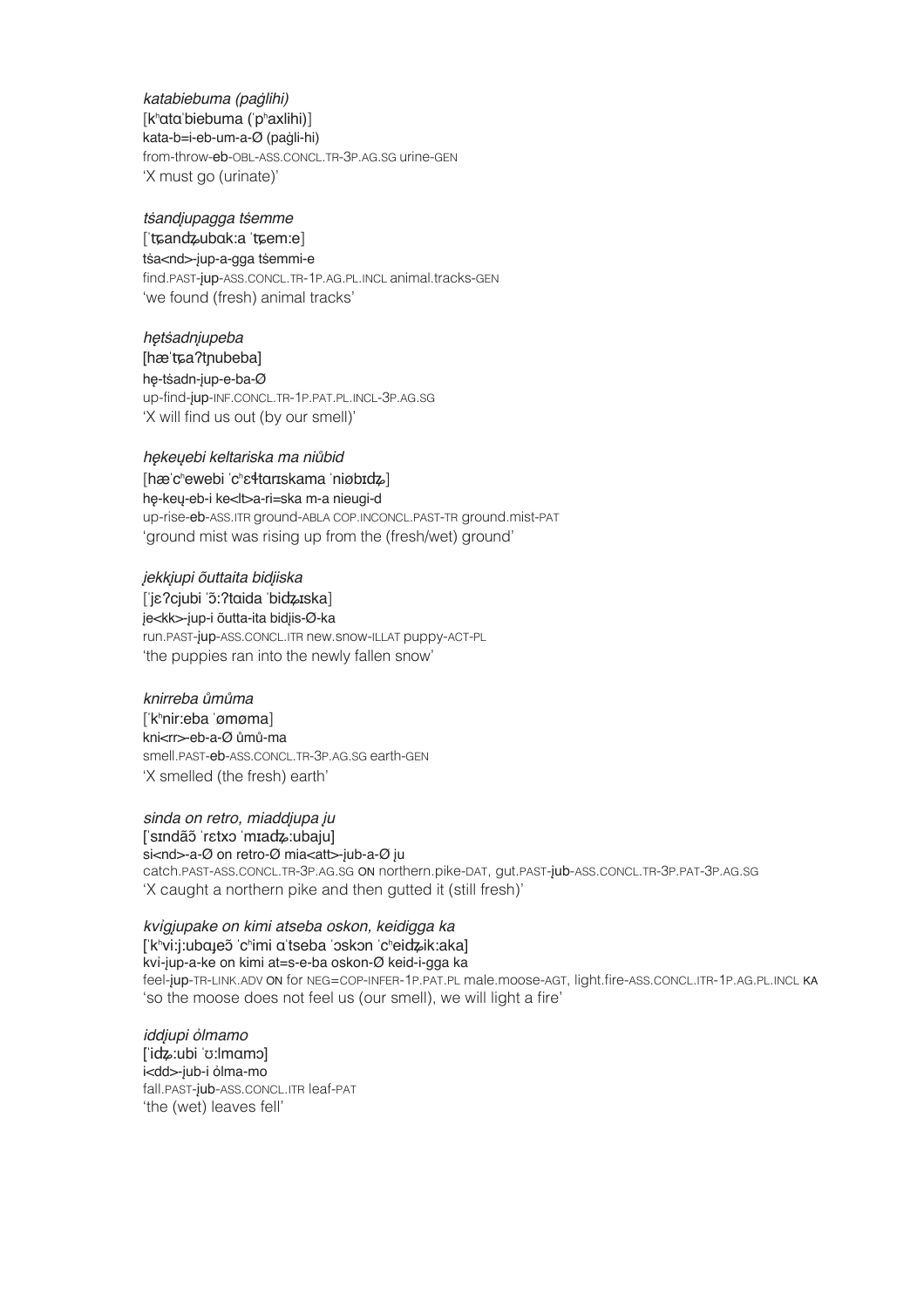*katabiebuma (pa*ġ*lihi)* ! ! [kʰɑtɑˈbiebuma (ˈpʰaxlihi)] kata-b=i-eb-um-a-Ø (paġli-hi) from-throw-eb-OBL-ASS.CONCL.TR-3P.AG.SG urine-GEN 'X must go (urinate)'

*t*ṡ*and*į*upagga t*ṡ*emme* ! !

#### [ˈʨanʥubɑk:a ˈʨem:e] tṡa<nd>-įup-a-gga tṡemmi-e

find.PAST-įup-ASS.CONCL.TR-1P.AG.PL.INCL animal.tracks-GEN 'we found (fresh) animal tracks'

*h*ę*t*ṡ*adn*į*upeba* !!! [hæˈʨaʔtɲubeba] hę-tṡadn-įup-e-ba-Ø up-find-įup-INF.CONCL.TR-1P.PAT.PL.INCL-3P.AG.SG 'X will find us out (by our smell)'

#### *h*ę*ke*ų*ebi keltariska ma ni*ů*bid*

[hæˈcʰewebi ˈcʰɛɬtɑrɪskama ˈniøbɪʥ] hę-keų-eb-i ke<lt>a-ri=ska m-a nieugi-d up-rise-eb-ASS.ITR ground-ABLA COP.INCONCL.PAST-TR ground.mist-PAT 'ground mist was rising up from the (fresh/wet) ground'

į*ekk*į*upi õuttaita bid*į*iska*!! !

[ˈjɛʔcjubi ˈɔ̃:ʔtɑida ˈbiʥɪska] je<kk>-jup-i õutta-ita bidjis-Ø-ka run.PAST-įup-ASS.CONCL.ITR new.snow-ILLAT puppy-ACT-PL 'the puppies ran into the newly fallen snow'

#### *knirreba* ů*m*ů*ma*! ! !

[ˈkʰnir:eba ˈømøma] kni<rr>-eb-a-Ø ůmů-ma smell.PAST-eb-ASS.CONCL.TR-3P.AG.SG earth-GEN 'X smelled (the fresh) earth'

*sinda on retro, miadd*į*upa* į*u*

[ˈsɪndãɔ̃ˈrɛtxɔ ˈmɪaʥ:ubaju] si<nd>-a-Ø on retro-Ø mia<att>-jub-a-Ø ju catch.PAST-ASS.CONCL.TR-3P.AG.SG ON northern.pike-DAT, gut.PAST-įub-ASS.CONCL.TR-3P.PAT-3P.AG.SG 'X caught a northern pike and then gutted it (still fresh)'

### *kv*ỉ*g*į*upake on kimi atseba oskon, keidigga ka*

#### [ˈkʰvi:j:ubɑɟeɔ̃ˈcʰimi ɑˈtseba ˈɔskɔn ˈcʰeiʥik:aka] kvỉ-įup-a-ke on kimi at=s-e-ba oskon-Ø keid-i-gga ka

feel-įup-TR-LINK.ADV ON for NEG=COP-INFER-1P.PAT.PL male.moose-AGT, light.fire-ASS.CONCL.ITR-1P.AG.PL.INCL KA 'so the moose does not feel us (our smell), we will light a fire'

*idd*į*upi* ỏ*lmamo* [ˈiʥ:ubi ˈʊ:lmɑmɔ] i<dd>-jub-i ỏlma-mo fall.PAST-įub-ASS.CONCL.ITR leaf-PAT 'the (wet) leaves fell'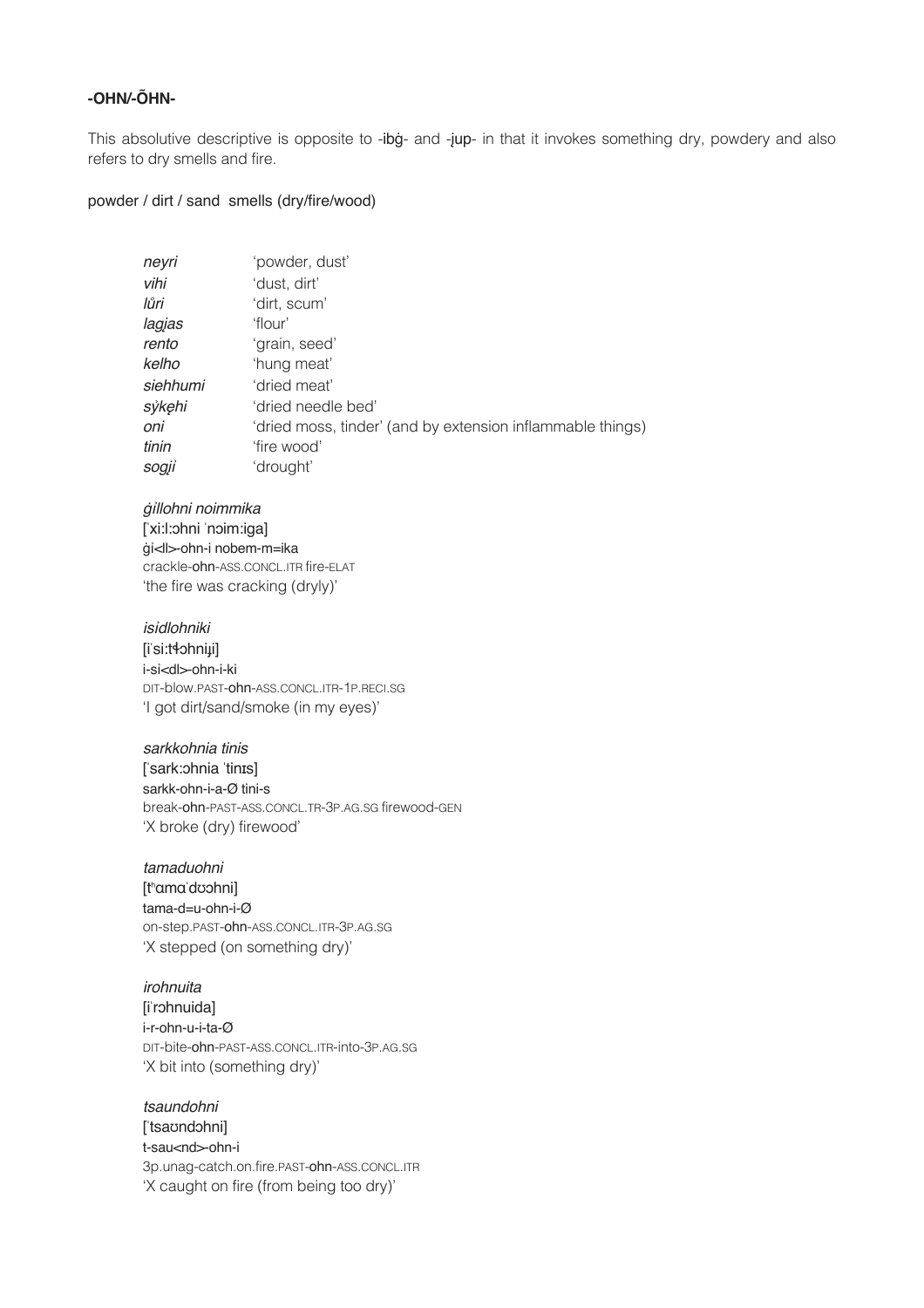#### -OHN/-ÕHN-

This absolutive descriptive is opposite to -ibg- and -jup- in that it invokes something dry, powdery and also refers to dry smells and fire.

#### powder / dirt / sand smells (dry/fire/wood)

| neyri    | 'powder, dust'                                             |
|----------|------------------------------------------------------------|
| vihi     | 'dust, dirt'                                               |
| lůri     | 'dirt, scum'                                               |
| lagjas   | 'flour'                                                    |
| rento    | 'grain, seed'                                              |
| kelho    | 'hung meat'                                                |
| siehhumi | 'dried meat'                                               |
| sýkęhi   | 'dried needle bed'                                         |
| oni      | 'dried moss, tinder' (and by extension inflammable things) |
| tinin    | 'fire wood'                                                |
| sogji    | 'drought'                                                  |

#### gillohni noimmika

[xi:l:ohni noim:iga] ġi<ll>-ohn-i nobem-m=ika crackle-ohn-ASS.CONCL.ITR fire-ELAT 'the fire was cracking (dryly)'

#### isidlohniki

[iˈsiːtɬɔhniµi] i-si<dl>-ohn-i-ki DIT-blow.past-ohn-ass.concl.itn-1p.neci.sg 'I got dirt/sand/smoke (in my eyes)'

#### sarkkohnia tinis

['sark:ohnia 'tinɪs] sarkk-ohn-i-a-Ø tini-s break-ohn-PAST-ASS.CONCL.TR-3P.AG.SG firewood-GEN 'X broke (dry) firewood'

#### tamaduohni

[thama'doohni] tama-d=u-ohn-i-Ø on-step.past-ohn-ass.concl.itn-3p.ag.sg 'X stepped (on something dry)'

## irohnuita

[i'rohnuida] i-r-ohn-u-i-ta-Ø DIT-bite-ohn-PAST-ASS.CONCL.ITR-into-3P.AG.SG 'X bit into (something dry)'

#### tsaundohni

['tsaʊndɔhni] t-sau<nd>-ohn-i 3p.unag-catch.on.fire.past-ohn-ass.concl.ITR 'X caught on fire (from being too dry)'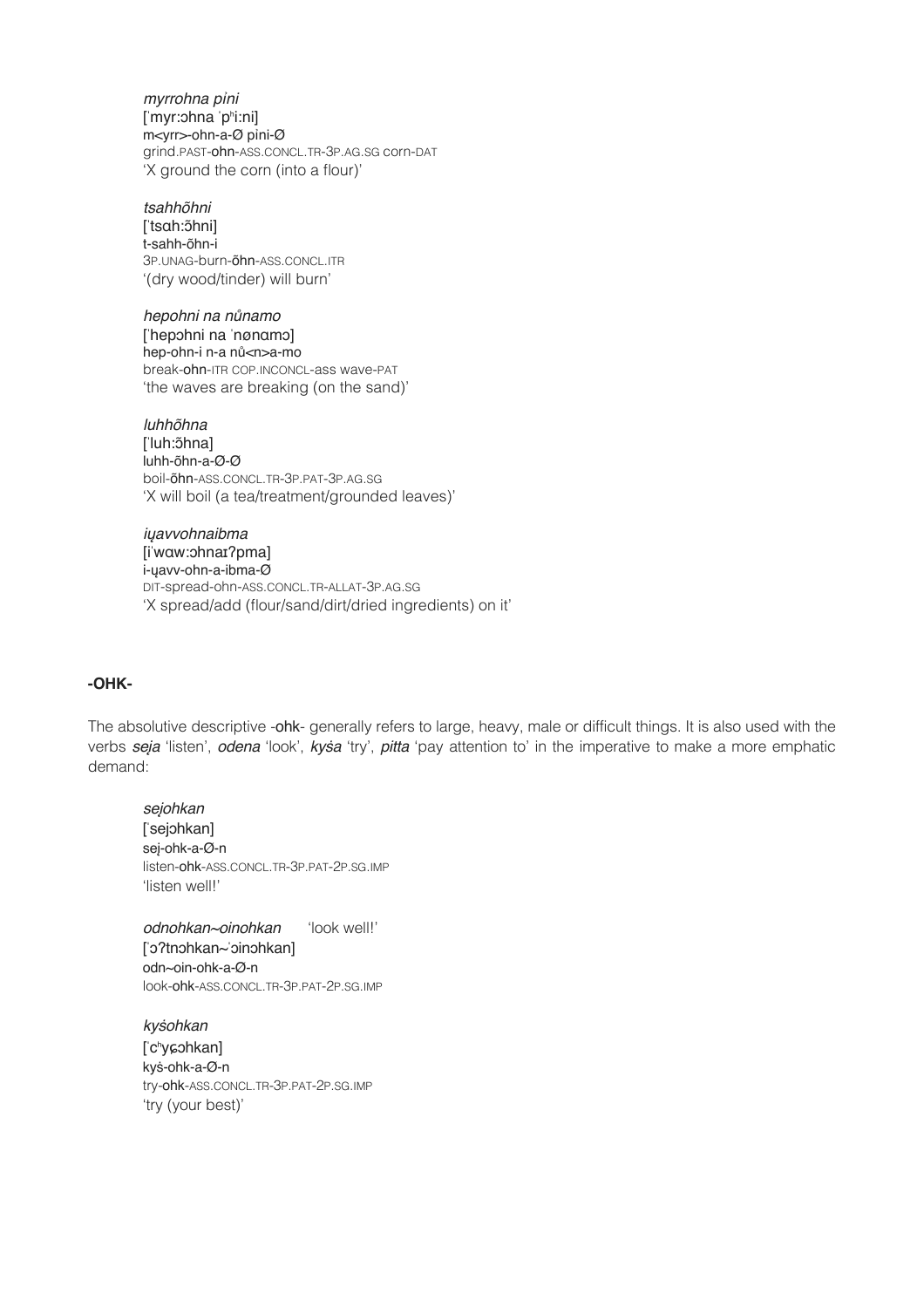*myrrohna p*ỉ*ni*  [ˈmyr:ɔhna ˈpʰi:ni] m<yrr>-ohn-a-Ø pỉni-Ø grind.PAST-ohn-ASS.CONCL.TR-3P.AG.SG corn-DAT 'X ground the corn (into a flour)'

*tsahhõhni* [ˈtsɑh:ɔ̃hni] t-sahh-õhn-i 3P.UNAG-burn-õhn-ASS.CONCL.ITR '(dry wood/tinder) will burn'

*hepohni na n*ů*namo* [ˈhepɔhni na ˈnønɑmɔ] hep-ohn-i n-a nů<n>a-mo break-ohn-ITR COP.INCONCL-ass wave-PAT 'the waves are breaking (on the sand)'

*luhhõhna* ['luh: õhna] luhh-õhn-a-Ø-Ø boil-õhn-ASS.CONCL.TR-3P.PAT-3P.AG.SG 'X will boil (a tea/treatment/grounded leaves)'

*i*ų*avvohnaibma* [iˈwɑw:ɔhnaɪʔpma] i-ųavv-ohn-a-ibma-Ø DIT-spread-ohn-ASS.CONCL.TR-ALLAT-3P.AG.SG 'X spread/add (flour/sand/dirt/dried ingredients) on it'

#### **-OHK-**

The absolutive descriptive -ohk- generally refers to large, heavy, male or difficult things. It is also used with the verbs *seja* 'listen', *odena* 'look', *kysa* 'try', *pitta* 'pay attention to' in the imperative to make a more emphatic demand:

*se*į*ohkan*! ! [ˈsejɔhkan] seį-ohk-a-Ø-n listen-ohk-ASS.CONCL.TR-3P.PAT-2P.SG.IMP 'listen well!'

*odnohkan~oinohkan* 'look well!' [ˈɔʔtnɔhkan~ˈɔinɔhkan] odn~oin-ohk-a-Ø-n look-ohk-ASS.CONCL.TR-3P.PAT-2P.SG.IMP

*ky*ṡ*ohkan*! ! ['c<sup>h</sup>yɕɔhkan] kyṡ-ohk-a-Ø-n try-ohk-ASS.CONCL.TR-3P.PAT-2P.SG.IMP 'try (your best)'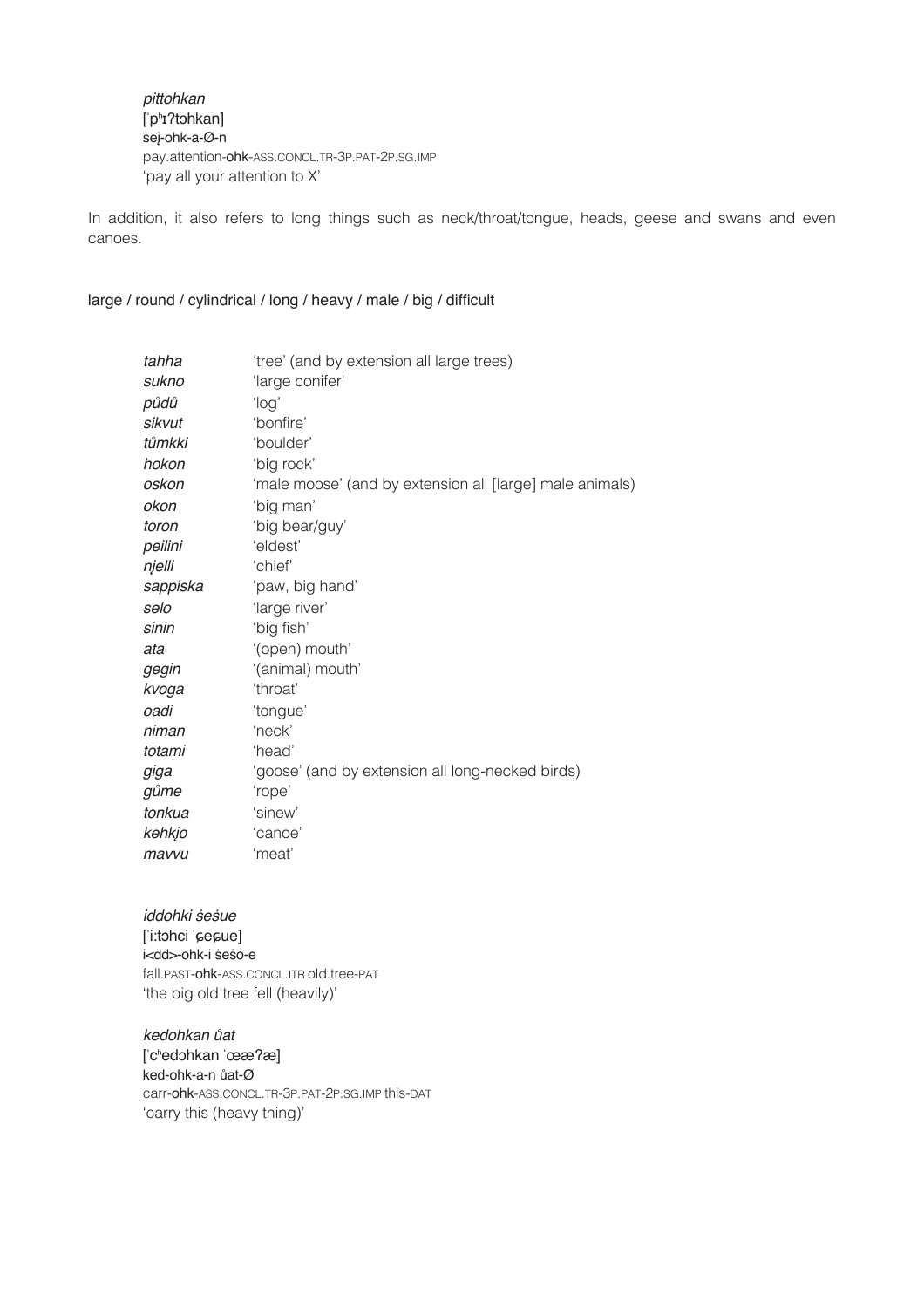pittohkan ['p<sup>h</sup>I?tohkan] sej-ohk-a-Ø-n pay.attention-ohk-ASS.CONCL.TR-3P.PAT-2P.SG.IMP 'pay all your attention to X'

In addition, it also refers to long things such as neck/throat/tongue, heads, geese and swans and even canoes.

#### large / round / cylindrical / long / heavy / male / big / difficult

| tahha    | 'tree' (and by extension all large trees)                |
|----------|----------------------------------------------------------|
| sukno    | 'large conifer'                                          |
| půdů     | ʻlogʻ                                                    |
| sikvut   | 'bonfire'                                                |
| tůmkki   | 'boulder'                                                |
| hokon    | 'big rock'                                               |
| oskon    | 'male moose' (and by extension all [large] male animals) |
| okon     | 'big man'                                                |
| toron    | 'big bear/guy'                                           |
| peilini  | 'eldest'                                                 |
| njelli   | 'chief'                                                  |
| sappiska | 'paw, big hand'                                          |
| selo     | 'large river'                                            |
| sinin    | 'big fish'                                               |
| ata      | '(open) mouth'                                           |
| gegin    | '(animal) mouth'                                         |
| kvoga    | 'throat'                                                 |
| oadi     | 'tongue'                                                 |
| niman    | 'neck'                                                   |
| totami   | 'head'                                                   |
| giga     | 'goose' (and by extension all long-necked birds)         |
| gůme     | 'rope'                                                   |
| tonkua   | 'sinew'                                                  |
| kehkjo   | 'canoe'                                                  |
| mavvu    | 'meat'                                                   |

iddohki sesue [i:tohci 'cecue] i<dd>-ohk-i seso-e fall.PAST-ohk-ASS.CONCL.ITR old.tree-PAT 'the big old tree fell (heavily)'

kedohkan ůat ['c<sup>h</sup>edohkan 'Ͼ?æ] ked-ohk-a-n ůat-Ø carr-ohk-ASS.CONCL.TR-3P.PAT-2P.SG.IMP this-DAT 'carry this (heavy thing)'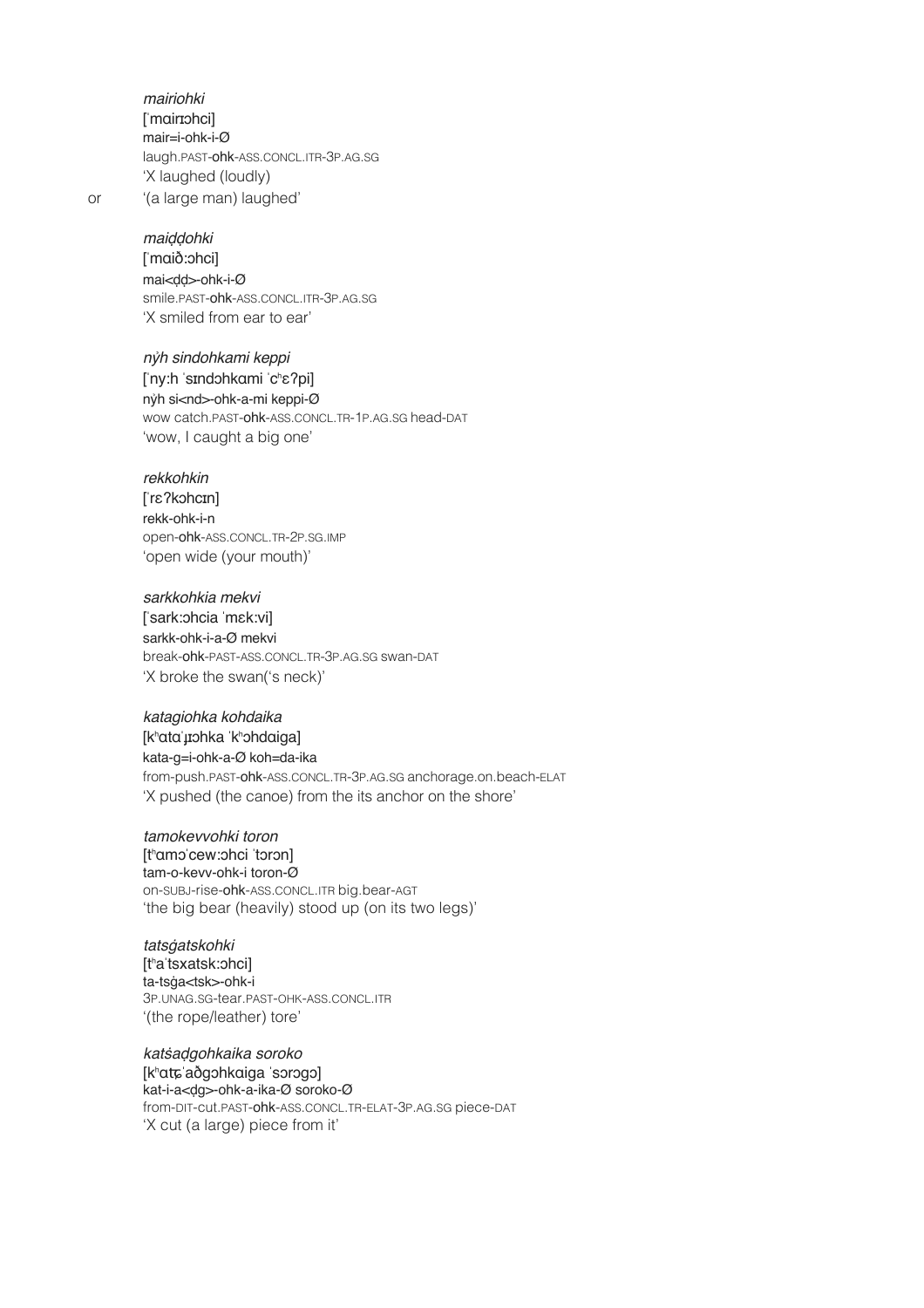*mairiohki*!! ! [ˈmɑirɪɔhci] mair=i-ohk-i-Ø laugh.PAST-ohk-ASS.CONCL.ITR-3P.AG.SG 'X laughed (loudly) or '(a large man) laughed'

*mai*ḍḍ*ohki*!! !

[ˈmɑið:ɔhci] mai<ḍḍ>-ohk-i-Ø smile.PAST-ohk-ASS.CONCL.ITR-3P.AG.SG 'X smiled from ear to ear'

*n*ỷ*h sindohkami keppi*! ! [ˈny:h ˈsɪndɔhkɑmi ˈcʰɛʔpi] nỷh si<nd>-ohk-a-mi keppi-Ø wow catch.PAST-ohk-ASS.CONCL.TR-1P.AG.SG head-DAT 'wow, I caught a big one'

#### *rekkohkin*!! !

[ˈrɛʔkɔhcɪn] rekk-ohk-i-n open-ohk-ASS.CONCL.TR-2P.SG.IMP 'open wide (your mouth)'

*sarkkohkia mekvi*! ! [ˈsark:ɔhcia ˈmɛk:vi] sarkk-ohk-i-a-Ø mekvi break-ohk-PAST-ASS.CONCL.TR-3P.AG.SG swan-DAT 'X broke the swan('s neck)'

#### *katagiohka kohdaika*! !

[kʰɑtɑˈɟɪɔhka ˈkʰɔhdɑiga] kata-g=i-ohk-a-Ø koh=da-ika from-push.PAST-ohk-ASS.CONCL.TR-3P.AG.SG anchorage.on.beach-ELAT 'X pushed (the canoe) from the its anchor on the shore'

*tamokevvohki toron* [tʰɑmɔˈcew:ɔhci ˈtɔrɔn] tam-o-kevv-ohk-i toron-Ø on-SUBJ-rise-ohk-ASS.CONCL.ITR big.bear-AGT 'the big bear (heavily) stood up (on its two legs)'

*tats*ġ*atskohki* [tʰaˈtsxatsk:ɔhci] ta-tsġa<tsk>-ohk-i 3P.UNAG.SG-tear.PAST-OHK-ASS.CONCL.ITR '(the rope/leather) tore'

*kat*ṡ*a*ḍ*gohkaika soroko* [kʰɑʨˈaðgɔhkɑiga ˈsɔrɔgɔ] kat-i-a<ḍg>-ohk-a-ika-Ø soroko-Ø from-DIT-cut.PAST-ohk-ASS.CONCL.TR-ELAT-3P.AG.SG piece-DAT 'X cut (a large) piece from it'